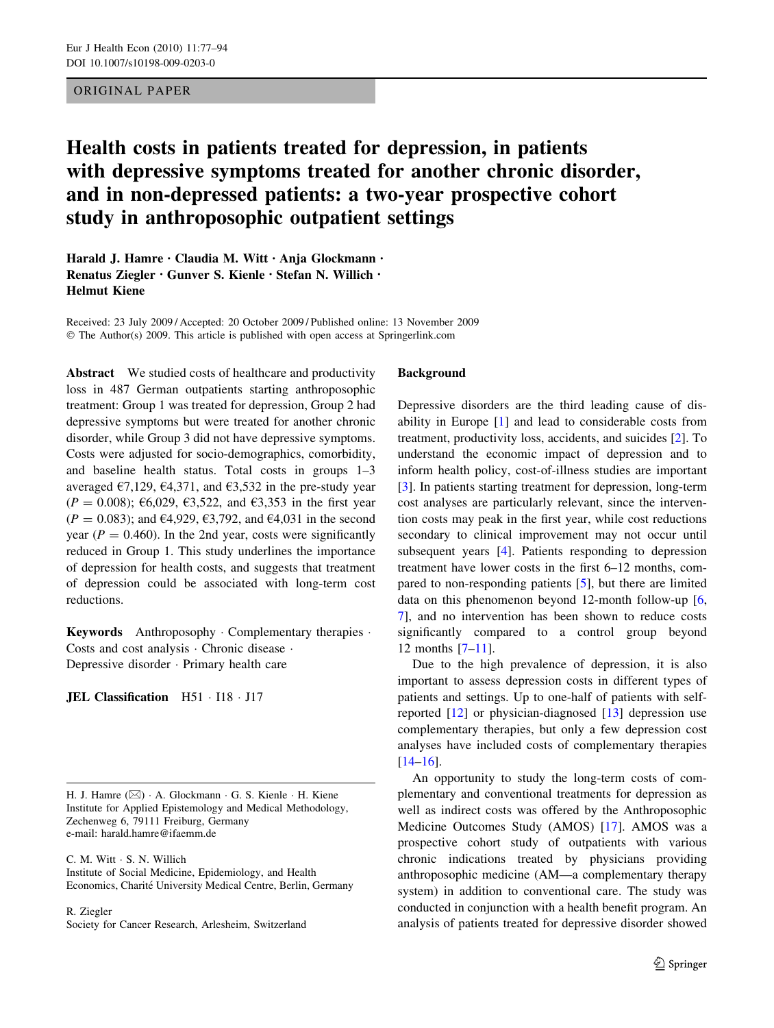# ORIGINAL PAPER

# Health costs in patients treated for depression, in patients with depressive symptoms treated for another chronic disorder, and in non-depressed patients: a two-year prospective cohort study in anthroposophic outpatient settings

Harald J. Hamre • Claudia M. Witt • Anja Glockmann • Renatus Ziegler • Gunver S. Kienle • Stefan N. Willich • Helmut Kiene

Received: 23 July 2009 / Accepted: 20 October 2009 / Published online: 13 November 2009  $\odot$  The Author(s) 2009. This article is published with open access at Springerlink.com

Abstract We studied costs of healthcare and productivity loss in 487 German outpatients starting anthroposophic treatment: Group 1 was treated for depression, Group 2 had depressive symptoms but were treated for another chronic disorder, while Group 3 did not have depressive symptoms. Costs were adjusted for socio-demographics, comorbidity, and baseline health status. Total costs in groups 1–3 averaged  $\epsilon$ 7,129,  $\epsilon$ 4,371, and  $\epsilon$ 3,532 in the pre-study year  $(P = 0.008)$ ; €6,029, €3,522, and €3,353 in the first year  $(P = 0.083)$ ; and  $\epsilon$ 4,929,  $\epsilon$ 3,792, and  $\epsilon$ 4,031 in the second year ( $P = 0.460$ ). In the 2nd year, costs were significantly reduced in Group 1. This study underlines the importance of depression for health costs, and suggests that treatment of depression could be associated with long-term cost reductions.

**Keywords** Anthroposophy  $\cdot$  Complementary therapies  $\cdot$ Costs and cost analysis  $\cdot$  Chronic disease  $\cdot$ Depressive disorder · Primary health care

JEL Classification H51 · I18 · J17

H. J. Hamre ( $\boxtimes$ ) · A. Glockmann · G. S. Kienle · H. Kiene Institute for Applied Epistemology and Medical Methodology, Zechenweg 6, 79111 Freiburg, Germany e-mail: harald.hamre@ifaemm.de

C. M. Witt · S. N. Willich

Institute of Social Medicine, Epidemiology, and Health Economics, Charité University Medical Centre, Berlin, Germany

R. Ziegler

Society for Cancer Research, Arlesheim, Switzerland

### Background

Depressive disorders are the third leading cause of disability in Europe [[1\]](#page-15-0) and lead to considerable costs from treatment, productivity loss, accidents, and suicides [[2\]](#page-15-0). To understand the economic impact of depression and to inform health policy, cost-of-illness studies are important [\[3](#page-15-0)]. In patients starting treatment for depression, long-term cost analyses are particularly relevant, since the intervention costs may peak in the first year, while cost reductions secondary to clinical improvement may not occur until subsequent years [[4\]](#page-15-0). Patients responding to depression treatment have lower costs in the first 6–12 months, compared to non-responding patients [[5\]](#page-15-0), but there are limited data on this phenomenon beyond 12-month follow-up [[6,](#page-15-0) [7](#page-15-0)], and no intervention has been shown to reduce costs significantly compared to a control group beyond 12 months [\[7–11](#page-15-0)].

Due to the high prevalence of depression, it is also important to assess depression costs in different types of patients and settings. Up to one-half of patients with selfreported [[12\]](#page-15-0) or physician-diagnosed [[13\]](#page-15-0) depression use complementary therapies, but only a few depression cost analyses have included costs of complementary therapies [\[14–16](#page-15-0)].

An opportunity to study the long-term costs of complementary and conventional treatments for depression as well as indirect costs was offered by the Anthroposophic Medicine Outcomes Study (AMOS) [[17](#page-15-0)]. AMOS was a prospective cohort study of outpatients with various chronic indications treated by physicians providing anthroposophic medicine (AM—a complementary therapy system) in addition to conventional care. The study was conducted in conjunction with a health benefit program. An analysis of patients treated for depressive disorder showed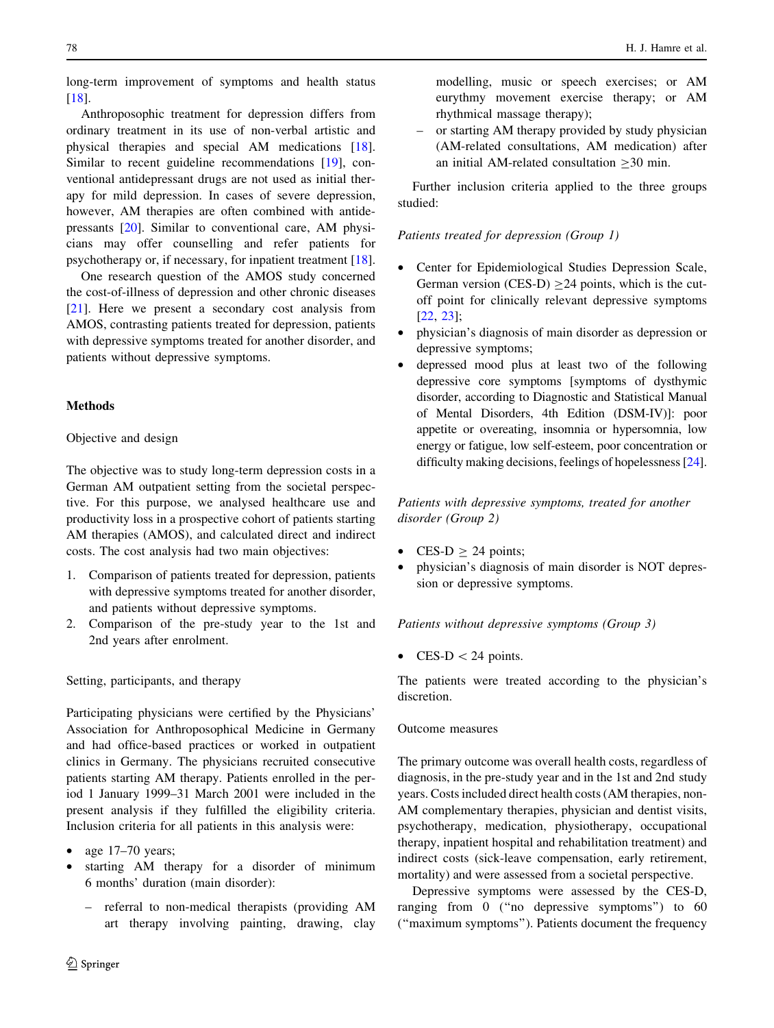long-term improvement of symptoms and health status [\[18](#page-15-0)].

Anthroposophic treatment for depression differs from ordinary treatment in its use of non-verbal artistic and physical therapies and special AM medications [\[18](#page-15-0)]. Similar to recent guideline recommendations [\[19](#page-15-0)], conventional antidepressant drugs are not used as initial therapy for mild depression. In cases of severe depression, however, AM therapies are often combined with antidepressants [[20\]](#page-15-0). Similar to conventional care, AM physicians may offer counselling and refer patients for psychotherapy or, if necessary, for inpatient treatment [\[18](#page-15-0)].

One research question of the AMOS study concerned the cost-of-illness of depression and other chronic diseases [\[21](#page-15-0)]. Here we present a secondary cost analysis from AMOS, contrasting patients treated for depression, patients with depressive symptoms treated for another disorder, and patients without depressive symptoms.

# Methods

# Objective and design

The objective was to study long-term depression costs in a German AM outpatient setting from the societal perspective. For this purpose, we analysed healthcare use and productivity loss in a prospective cohort of patients starting AM therapies (AMOS), and calculated direct and indirect costs. The cost analysis had two main objectives:

- 1. Comparison of patients treated for depression, patients with depressive symptoms treated for another disorder, and patients without depressive symptoms.
- 2. Comparison of the pre-study year to the 1st and 2nd years after enrolment.

Setting, participants, and therapy

Participating physicians were certified by the Physicians' Association for Anthroposophical Medicine in Germany and had office-based practices or worked in outpatient clinics in Germany. The physicians recruited consecutive patients starting AM therapy. Patients enrolled in the period 1 January 1999–31 March 2001 were included in the present analysis if they fulfilled the eligibility criteria. Inclusion criteria for all patients in this analysis were:

- age 17-70 years;
- <span id="page-1-0"></span>starting AM therapy for a disorder of minimum 6 months' duration (main disorder):
	- referral to non-medical therapists (providing AM art therapy involving painting, drawing, clay

modelling, music or speech exercises; or AM eurythmy movement exercise therapy; or AM rhythmical massage therapy);

– or starting AM therapy provided by study physician (AM-related consultations, AM medication) after an initial AM-related consultation  $\geq 30$  min.

Further inclusion criteria applied to the three groups studied:

# Patients treated for depression (Group 1)

- Center for Epidemiological Studies Depression Scale, German version  $(CES-D) > 24$  points, which is the cutoff point for clinically relevant depressive symptoms [\[22](#page-15-0), [23\]](#page-15-0);
- physician's diagnosis of main disorder as depression or depressive symptoms;
- depressed mood plus at least two of the following depressive core symptoms [symptoms of dysthymic disorder, according to Diagnostic and Statistical Manual of Mental Disorders, 4th Edition (DSM-IV)]: poor appetite or overeating, insomnia or hypersomnia, low energy or fatigue, low self-esteem, poor concentration or difficulty making decisions, feelings of hopelessness [[24\]](#page-15-0).

Patients with depressive symptoms, treated for another disorder (Group 2)

- $CES-D > 24$  points;
- physician's diagnosis of main disorder is NOT depression or depressive symptoms.

Patients without depressive symptoms (Group 3)

• CES-D  $<$  24 points.

The patients were treated according to the physician's discretion.

# Outcome measures

The primary outcome was overall health costs, regardless of diagnosis, in the pre-study year and in the 1st and 2nd study years. Costs included direct health costs (AM therapies, non-AM complementary therapies, physician and dentist visits, psychotherapy, medication, physiotherapy, occupational therapy, inpatient hospital and rehabilitation treatment) and indirect costs (sick-leave compensation, early retirement, mortality) and were assessed from a societal perspective.

Depressive symptoms were assessed by the CES-D, ranging from 0 (''no depressive symptoms'') to 60 (''maximum symptoms''). Patients document the frequency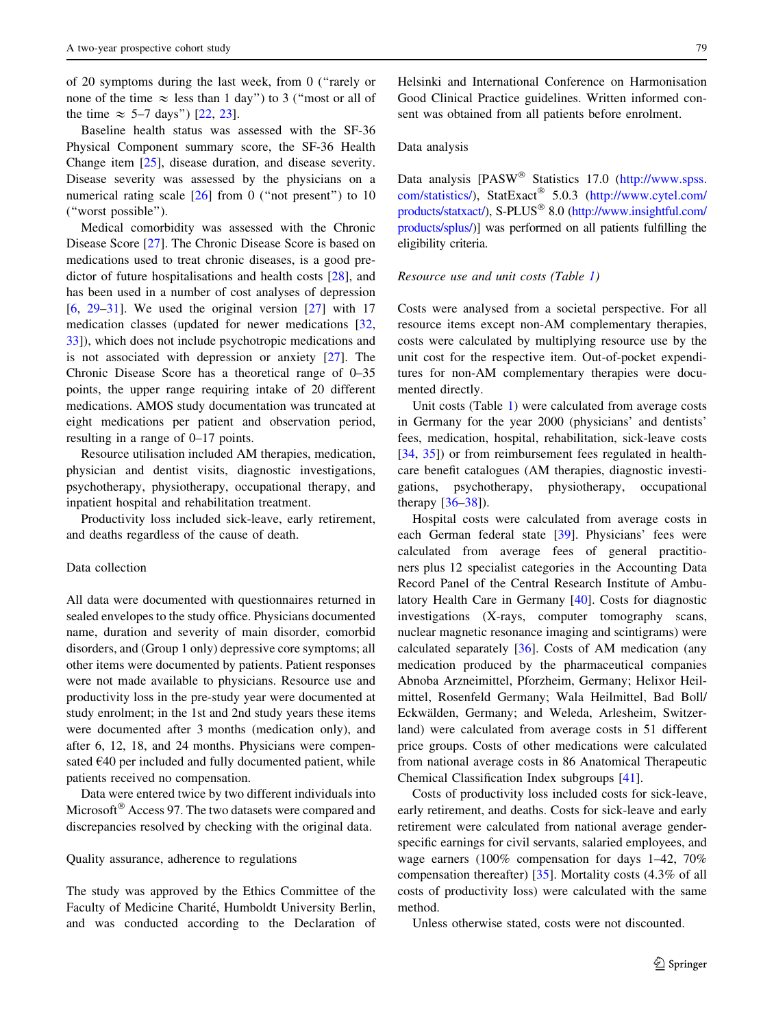of 20 symptoms during the last week, from 0 (''rarely or none of the time  $\approx$  less than 1 day") to 3 ("most or all of the time  $\approx$  5–7 days") [\[22](#page-15-0), [23\]](#page-15-0).

Baseline health status was assessed with the SF-36 Physical Component summary score, the SF-36 Health Change item [[25\]](#page-15-0), disease duration, and disease severity. Disease severity was assessed by the physicians on a numerical rating scale  $\lceil 26 \rceil$  from 0 ("not present") to 10 (''worst possible'').

Medical comorbidity was assessed with the Chronic Disease Score [[27\]](#page-15-0). The Chronic Disease Score is based on medications used to treat chronic diseases, is a good predictor of future hospitalisations and health costs [\[28](#page-16-0)], and has been used in a number of cost analyses of depression [\[6](#page-15-0),  $29-31$ ]. We used the original version [[27\]](#page-15-0) with 17 medication classes (updated for newer medications [[32,](#page-16-0) [33\]](#page-16-0)), which does not include psychotropic medications and is not associated with depression or anxiety [\[27](#page-15-0)]. The Chronic Disease Score has a theoretical range of 0–35 points, the upper range requiring intake of 20 different medications. AMOS study documentation was truncated at eight medications per patient and observation period, resulting in a range of 0–17 points.

Resource utilisation included AM therapies, medication, physician and dentist visits, diagnostic investigations, psychotherapy, physiotherapy, occupational therapy, and inpatient hospital and rehabilitation treatment.

Productivity loss included sick-leave, early retirement, and deaths regardless of the cause of death.

## Data collection

All data were documented with questionnaires returned in sealed envelopes to the study office. Physicians documented name, duration and severity of main disorder, comorbid disorders, and (Group 1 only) depressive core symptoms; all other items were documented by patients. Patient responses were not made available to physicians. Resource use and productivity loss in the pre-study year were documented at study enrolment; in the 1st and 2nd study years these items were documented after 3 months (medication only), and after 6, 12, 18, and 24 months. Physicians were compensated  $E40$  per included and fully documented patient, while patients received no compensation.

Data were entered twice by two different individuals into Microsoft<sup>®</sup> Access 97. The two datasets were compared and discrepancies resolved by checking with the original data.

#### Quality assurance, adherence to regulations

The study was approved by the Ethics Committee of the Faculty of Medicine Charité, Humboldt University Berlin, and was conducted according to the Declaration of Helsinki and International Conference on Harmonisation Good Clinical Practice guidelines. Written informed consent was obtained from all patients before enrolment.

## Data analysis

Data analysis [PASW<sup>®</sup> Statistics 17.0 [\(http://www.spss.](http://www.spss.com/statistics/) [com/statistics/\)](http://www.spss.com/statistics/), StatExact" 5.0.3 [\(http://www.cytel.com/](http://www.cytel.com/products/statxact/) [products/statxact/](http://www.cytel.com/products/statxact/)), S-PLUS" 8.0 [\(http://www.insightful.com/](http://www.insightful.com/products/splus/) [products/splus/\)](http://www.insightful.com/products/splus/)] was performed on all patients fulfilling the eligibility criteria.

#### Resource use and unit costs (Table [1](#page-3-0))

Costs were analysed from a societal perspective. For all resource items except non-AM complementary therapies, costs were calculated by multiplying resource use by the unit cost for the respective item. Out-of-pocket expenditures for non-AM complementary therapies were documented directly.

Unit costs (Table [1\)](#page-3-0) were calculated from average costs in Germany for the year 2000 (physicians' and dentists' fees, medication, hospital, rehabilitation, sick-leave costs [\[34](#page-16-0), [35\]](#page-16-0)) or from reimbursement fees regulated in healthcare benefit catalogues (AM therapies, diagnostic investigations, psychotherapy, physiotherapy, occupational therapy [[36–38\]](#page-16-0)).

Hospital costs were calculated from average costs in each German federal state [[39](#page-16-0)]. Physicians' fees were calculated from average fees of general practitioners plus 12 specialist categories in the Accounting Data Record Panel of the Central Research Institute of Ambulatory Health Care in Germany [\[40](#page-16-0)]. Costs for diagnostic investigations (X-rays, computer tomography scans, nuclear magnetic resonance imaging and scintigrams) were calculated separately [\[36](#page-16-0)]. Costs of AM medication (any medication produced by the pharmaceutical companies Abnoba Arzneimittel, Pforzheim, Germany; Helixor Heilmittel, Rosenfeld Germany; Wala Heilmittel, Bad Boll/ Eckwälden, Germany; and Weleda, Arlesheim, Switzerland) were calculated from average costs in 51 different price groups. Costs of other medications were calculated from national average costs in 86 Anatomical Therapeutic Chemical Classification Index subgroups [\[41](#page-16-0)].

Costs of productivity loss included costs for sick-leave, early retirement, and deaths. Costs for sick-leave and early retirement were calculated from national average genderspecific earnings for civil servants, salaried employees, and wage earners (100% compensation for days 1–42, 70% compensation thereafter) [[35\]](#page-16-0). Mortality costs (4.3% of all costs of productivity loss) were calculated with the same method.

Unless otherwise stated, costs were not discounted.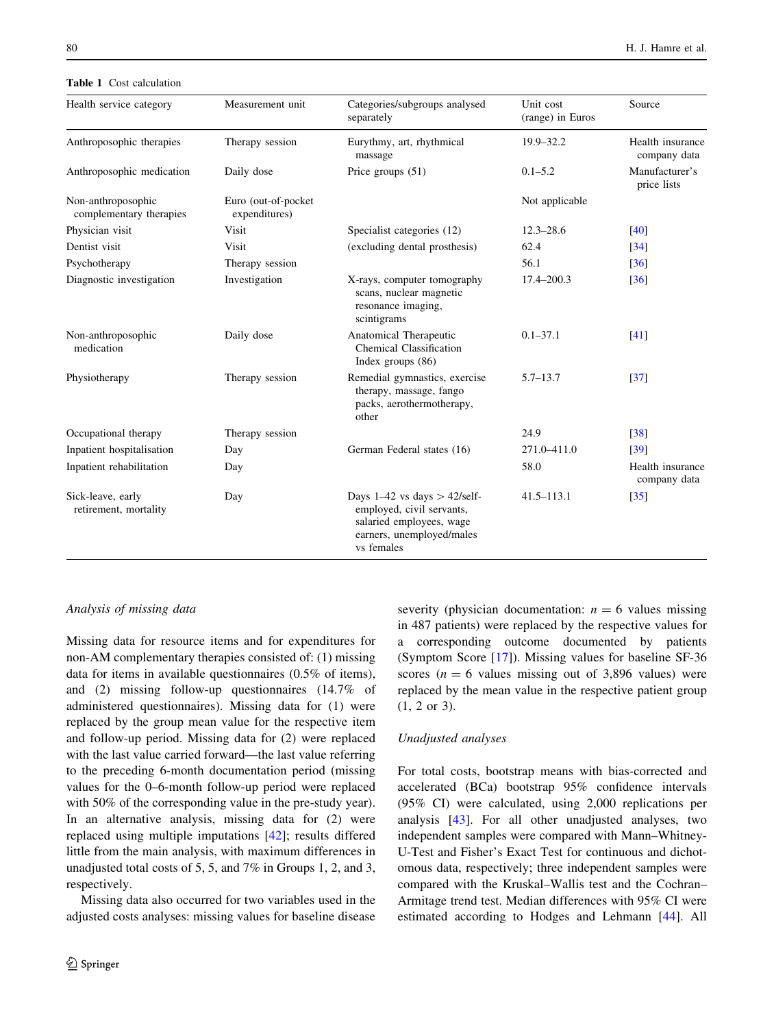Table 1 Cost calculation

| Health service category                       | Measurement unit                     | Categories/subgroups analysed<br>separately                                                                                           | Unit cost<br>(range) in Euros | Source                           |
|-----------------------------------------------|--------------------------------------|---------------------------------------------------------------------------------------------------------------------------------------|-------------------------------|----------------------------------|
| Anthroposophic therapies                      | Therapy session                      | Eurythmy, art, rhythmical<br>massage                                                                                                  | 19.9-32.2                     | Health insurance<br>company data |
| Anthroposophic medication                     | Daily dose                           | Price groups (51)                                                                                                                     | $0.1 - 5.2$                   | Manufacturer's<br>price lists    |
| Non-anthroposophic<br>complementary therapies | Euro (out-of-pocket<br>expenditures) |                                                                                                                                       | Not applicable                |                                  |
| Physician visit                               | Visit                                | Specialist categories (12)                                                                                                            | $12.3 - 28.6$                 | $[40]$                           |
| Dentist visit                                 | Visit                                | (excluding dental prosthesis)                                                                                                         | 62.4                          | $\left[34\right]$                |
| Psychotherapy                                 | Therapy session                      |                                                                                                                                       | 56.1                          | $\lceil 36 \rceil$               |
| Diagnostic investigation                      | Investigation                        | X-rays, computer tomography<br>scans, nuclear magnetic<br>resonance imaging,<br>scintigrams                                           | 17.4-200.3                    | $[36]$                           |
| Non-anthroposophic<br>medication              | Daily dose                           | Anatomical Therapeutic<br>Chemical Classification<br>Index groups $(86)$                                                              | $0.1 - 37.1$                  | [41]                             |
| Physiotherapy                                 | Therapy session                      | Remedial gymnastics, exercise<br>therapy, massage, fango<br>packs, aerothermotherapy,<br>other                                        | $5.7 - 13.7$                  | $[37]$                           |
| Occupational therapy                          | Therapy session                      |                                                                                                                                       | 24.9                          | $[38]$                           |
| Inpatient hospitalisation                     | Day                                  | German Federal states (16)                                                                                                            | 271.0-411.0                   | [39]                             |
| Inpatient rehabilitation                      | Day                                  |                                                                                                                                       | 58.0                          | Health insurance<br>company data |
| Sick-leave, early<br>retirement, mortality    | Day                                  | Days $1-42$ vs days $> 42$ /self-<br>employed, civil servants,<br>salaried employees, wage<br>earners, unemployed/males<br>vs females | $41.5 - 113.1$                | [35]                             |

## Analysis of missing data

Missing data for resource items and for expenditures for non-AM complementary therapies consisted of: (1) missing data for items in available questionnaires (0.5% of items), and (2) missing follow-up questionnaires (14.7% of administered questionnaires). Missing data for (1) were replaced by the group mean value for the respective item and follow-up period. Missing data for (2) were replaced with the last value carried forward—the last value referring to the preceding 6-month documentation period (missing values for the 0–6-month follow-up period were replaced with 50% of the corresponding value in the pre-study year). In an alternative analysis, missing data for (2) were replaced using multiple imputations [\[42](#page-16-0)]; results differed little from the main analysis, with maximum differences in unadjusted total costs of 5, 5, and 7% in Groups 1, 2, and 3, respectively.

<span id="page-3-0"></span>Missing data also occurred for two variables used in the adjusted costs analyses: missing values for baseline disease severity (physician documentation:  $n = 6$  values missing in 487 patients) were replaced by the respective values for a corresponding outcome documented by patients (Symptom Score [\[17](#page-15-0)]). Missing values for baseline SF-36 scores ( $n = 6$  values missing out of 3,896 values) were replaced by the mean value in the respective patient group (1, 2 or 3).

#### Unadjusted analyses

For total costs, bootstrap means with bias-corrected and accelerated (BCa) bootstrap 95% confidence intervals (95% CI) were calculated, using 2,000 replications per analysis [\[43](#page-16-0)]. For all other unadjusted analyses, two independent samples were compared with Mann–Whitney-U-Test and Fisher's Exact Test for continuous and dichotomous data, respectively; three independent samples were compared with the Kruskal–Wallis test and the Cochran– Armitage trend test. Median differences with 95% CI were estimated according to Hodges and Lehmann [\[44](#page-16-0)]. All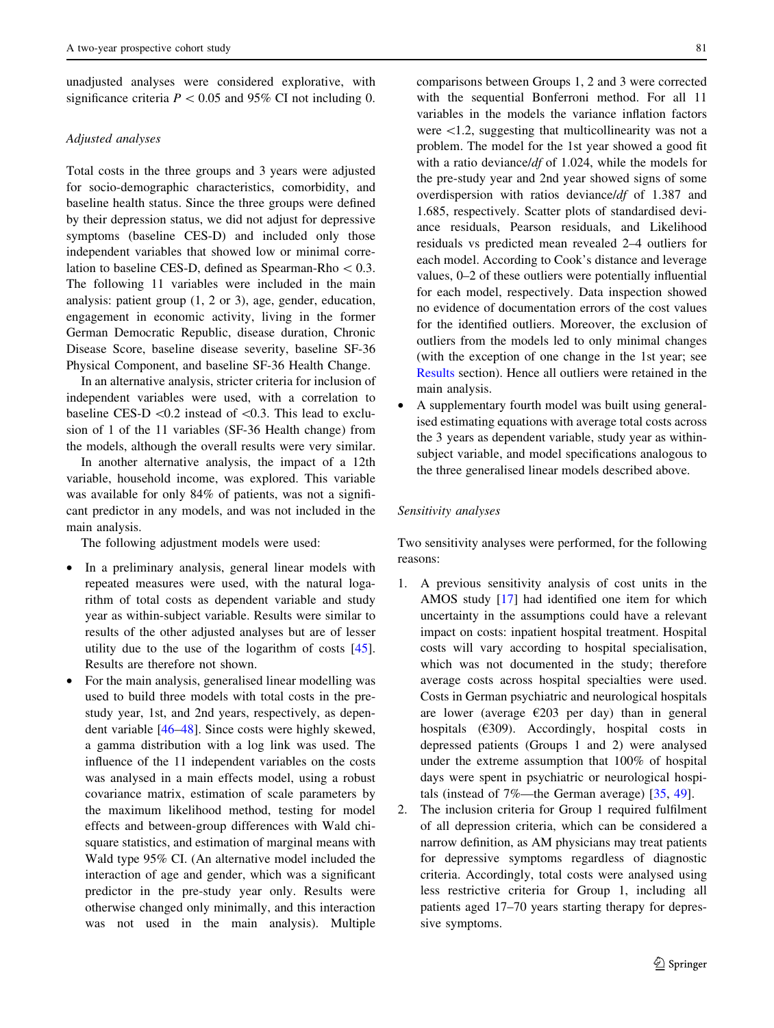unadjusted analyses were considered explorative, with significance criteria  $P < 0.05$  and 95% CI not including 0.

#### Adjusted analyses

Total costs in the three groups and 3 years were adjusted for socio-demographic characteristics, comorbidity, and baseline health status. Since the three groups were defined by their depression status, we did not adjust for depressive symptoms (baseline CES-D) and included only those independent variables that showed low or minimal correlation to baseline CES-D, defined as Spearman-Rho $< 0.3$ . The following 11 variables were included in the main analysis: patient group (1, 2 or 3), age, gender, education, engagement in economic activity, living in the former German Democratic Republic, disease duration, Chronic Disease Score, baseline disease severity, baseline SF-36 Physical Component, and baseline SF-36 Health Change.

In an alternative analysis, stricter criteria for inclusion of independent variables were used, with a correlation to baseline CES-D  $\langle 0.2 \rangle$  instead of  $\langle 0.3 \rangle$ . This lead to exclusion of 1 of the 11 variables (SF-36 Health change) from the models, although the overall results were very similar.

In another alternative analysis, the impact of a 12th variable, household income, was explored. This variable was available for only 84% of patients, was not a significant predictor in any models, and was not included in the main analysis.

The following adjustment models were used:

- In a preliminary analysis, general linear models with repeated measures were used, with the natural logarithm of total costs as dependent variable and study year as within-subject variable. Results were similar to results of the other adjusted analyses but are of lesser utility due to the use of the logarithm of costs [\[45](#page-16-0)]. Results are therefore not shown.
- For the main analysis, generalised linear modelling was used to build three models with total costs in the prestudy year, 1st, and 2nd years, respectively, as dependent variable [\[46–48](#page-16-0)]. Since costs were highly skewed, a gamma distribution with a log link was used. The influence of the 11 independent variables on the costs was analysed in a main effects model, using a robust covariance matrix, estimation of scale parameters by the maximum likelihood method, testing for model effects and between-group differences with Wald chisquare statistics, and estimation of marginal means with Wald type 95% CI. (An alternative model included the interaction of age and gender, which was a significant predictor in the pre-study year only. Results were otherwise changed only minimally, and this interaction was not used in the main analysis). Multiple

comparisons between Groups 1, 2 and 3 were corrected with the sequential Bonferroni method. For all 11 variables in the models the variance inflation factors were  $\langle 1.2$ , suggesting that multicollinearity was not a problem. The model for the 1st year showed a good fit with a ratio deviance/df of 1.024, while the models for the pre-study year and 2nd year showed signs of some overdispersion with ratios deviance/df of 1.387 and 1.685, respectively. Scatter plots of standardised deviance residuals, Pearson residuals, and Likelihood residuals vs predicted mean revealed 2–4 outliers for each model. According to Cook's distance and leverage values, 0–2 of these outliers were potentially influential for each model, respectively. Data inspection showed no evidence of documentation errors of the cost values for the identified outliers. Moreover, the exclusion of outliers from the models led to only minimal changes (with the exception of one change in the 1st year; see [Results](#page-5-0) section). Hence all outliers were retained in the main analysis.

• A supplementary fourth model was built using generalised estimating equations with average total costs across the 3 years as dependent variable, study year as withinsubject variable, and model specifications analogous to the three generalised linear models described above.

# Sensitivity analyses

Two sensitivity analyses were performed, for the following reasons:

- 1. A previous sensitivity analysis of cost units in the AMOS study [[17](#page-15-0)] had identified one item for which uncertainty in the assumptions could have a relevant impact on costs: inpatient hospital treatment. Hospital costs will vary according to hospital specialisation, which was not documented in the study; therefore average costs across hospital specialties were used. Costs in German psychiatric and neurological hospitals are lower (average  $E203$  per day) than in general hospitals  $(6309)$ . Accordingly, hospital costs in depressed patients (Groups 1 and 2) were analysed under the extreme assumption that 100% of hospital days were spent in psychiatric or neurological hospitals (instead of 7%—the German average) [\[35](#page-16-0), [49\]](#page-16-0).
- 2. The inclusion criteria for Group 1 required fulfilment of all depression criteria, which can be considered a narrow definition, as AM physicians may treat patients for depressive symptoms regardless of diagnostic criteria. Accordingly, total costs were analysed using less restrictive criteria for Group 1, including all patients aged 17–70 years starting therapy for depressive symptoms.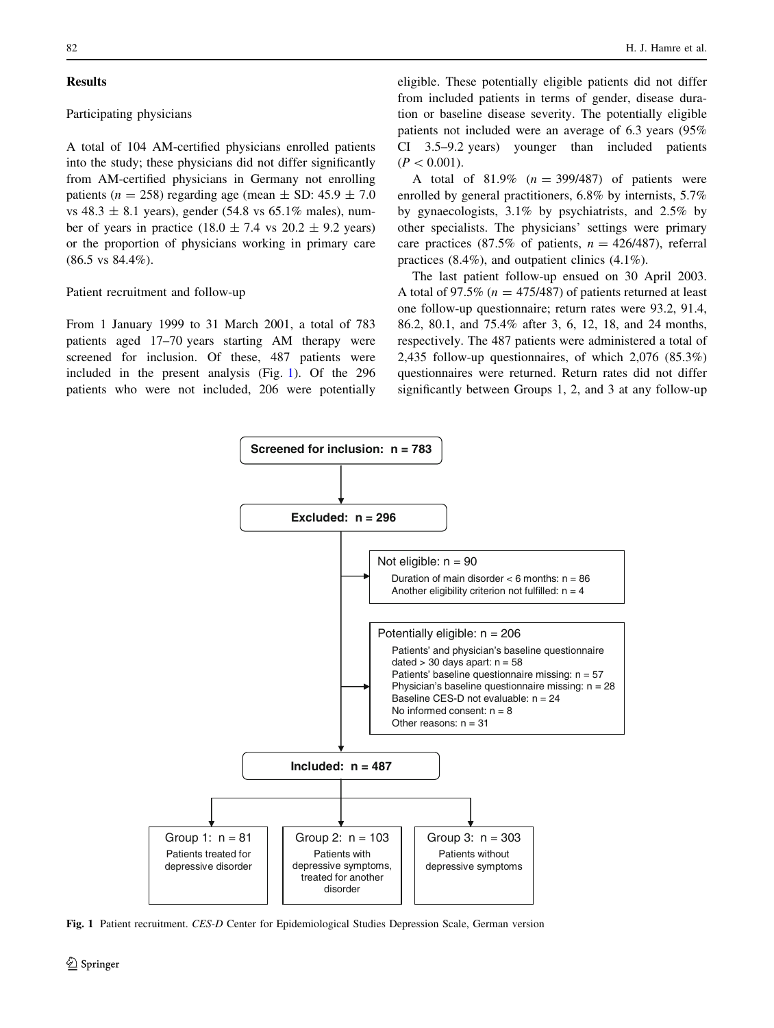## **Results**

## Participating physicians

A total of 104 AM-certified physicians enrolled patients into the study; these physicians did not differ significantly from AM-certified physicians in Germany not enrolling patients ( $n = 258$ ) regarding age (mean  $\pm$  SD: 45.9  $\pm$  7.0 vs 48.3  $\pm$  8.1 years), gender (54.8 vs 65.1% males), number of years in practice (18.0  $\pm$  7.4 vs 20.2  $\pm$  9.2 years) or the proportion of physicians working in primary care (86.5 vs 84.4%).

## Patient recruitment and follow-up

From 1 January 1999 to 31 March 2001, a total of 783 patients aged 17–70 years starting AM therapy were screened for inclusion. Of these, 487 patients were included in the present analysis (Fig. [1](#page-5-0)). Of the 296 patients who were not included, 206 were potentially

eligible. These potentially eligible patients did not differ from included patients in terms of gender, disease duration or baseline disease severity. The potentially eligible patients not included were an average of 6.3 years (95% CI 3.5–9.2 years) younger than included patients  $(P<0.001)$ .

A total of  $81.9\%$  ( $n = 399/487$ ) of patients were enrolled by general practitioners, 6.8% by internists, 5.7% by gynaecologists, 3.1% by psychiatrists, and 2.5% by other specialists. The physicians' settings were primary care practices (87.5% of patients,  $n = 426/487$ ), referral practices (8.4%), and outpatient clinics (4.1%).

The last patient follow-up ensued on 30 April 2003. A total of 97.5% ( $n = 475/487$ ) of patients returned at least one follow-up questionnaire; return rates were 93.2, 91.4, 86.2, 80.1, and 75.4% after 3, 6, 12, 18, and 24 months, respectively. The 487 patients were administered a total of 2,435 follow-up questionnaires, of which 2,076 (85.3%) questionnaires were returned. Return rates did not differ significantly between Groups 1, 2, and 3 at any follow-up



<span id="page-5-0"></span>Fig. 1 Patient recruitment. CES-D Center for Epidemiological Studies Depression Scale, German version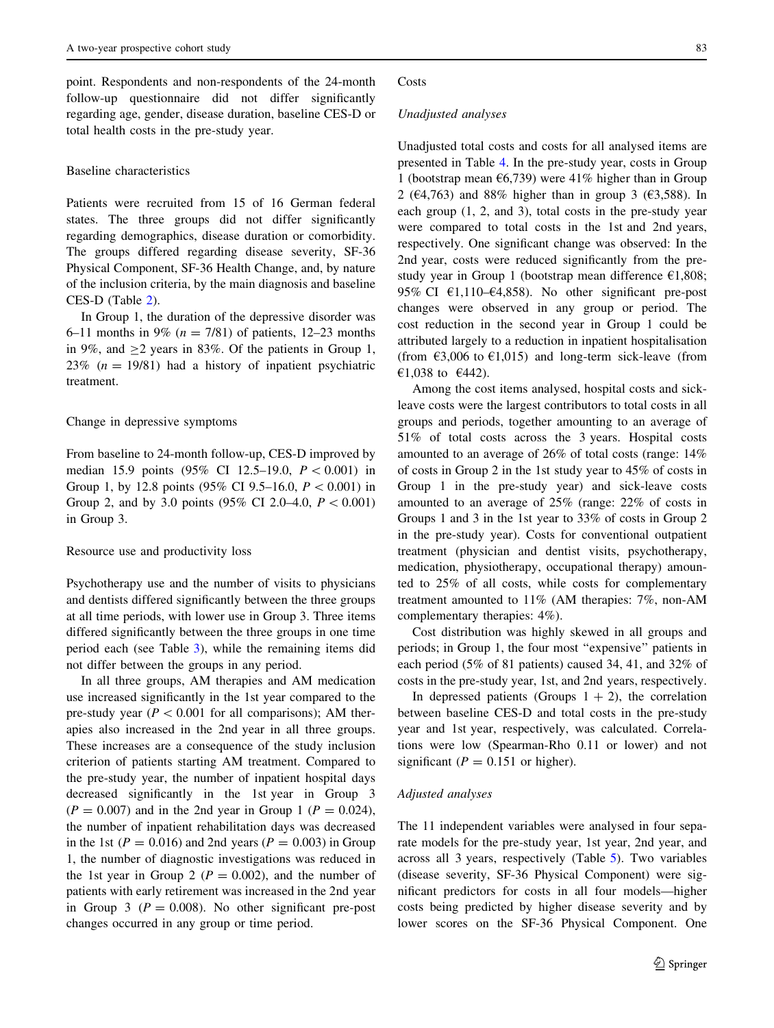point. Respondents and non-respondents of the 24-month follow-up questionnaire did not differ significantly regarding age, gender, disease duration, baseline CES-D or total health costs in the pre-study year.

## Baseline characteristics

Patients were recruited from 15 of 16 German federal states. The three groups did not differ significantly regarding demographics, disease duration or comorbidity. The groups differed regarding disease severity, SF-36 Physical Component, SF-36 Health Change, and, by nature of the inclusion criteria, by the main diagnosis and baseline CES-D (Table [2\)](#page-7-0).

In Group 1, the duration of the depressive disorder was 6–11 months in 9% ( $n = 7/81$ ) of patients, 12–23 months in 9%, and  $>2$  years in 83%. Of the patients in Group 1, 23% ( $n = 19/81$ ) had a history of inpatient psychiatric treatment.

#### Change in depressive symptoms

From baseline to 24-month follow-up, CES-D improved by median 15.9 points (95% CI 12.5–19.0,  $P < 0.001$ ) in Group 1, by 12.8 points (95% CI 9.5–16.0,  $P < 0.001$ ) in Group 2, and by 3.0 points (95% CI 2.0–4.0,  $P < 0.001$ ) in Group 3.

## Resource use and productivity loss

Psychotherapy use and the number of visits to physicians and dentists differed significantly between the three groups at all time periods, with lower use in Group 3. Three items differed significantly between the three groups in one time period each (see Table [3](#page-8-0)), while the remaining items did not differ between the groups in any period.

In all three groups, AM therapies and AM medication use increased significantly in the 1st year compared to the pre-study year ( $P < 0.001$  for all comparisons); AM therapies also increased in the 2nd year in all three groups. These increases are a consequence of the study inclusion criterion of patients starting AM treatment. Compared to the pre-study year, the number of inpatient hospital days decreased significantly in the 1st year in Group 3  $(P = 0.007)$  and in the 2nd year in Group 1 ( $P = 0.024$ ), the number of inpatient rehabilitation days was decreased in the 1st ( $P = 0.016$ ) and 2nd years ( $P = 0.003$ ) in Group 1, the number of diagnostic investigations was reduced in the 1st year in Group 2 ( $P = 0.002$ ), and the number of patients with early retirement was increased in the 2nd year in Group 3 ( $P = 0.008$ ). No other significant pre-post changes occurred in any group or time period.

#### Costs

### Unadjusted analyses

Unadjusted total costs and costs for all analysed items are presented in Table [4](#page-9-0). In the pre-study year, costs in Group 1 (bootstrap mean  $6,739$ ) were 41% higher than in Group 2 ( $\epsilon$ 4,763) and 88% higher than in group 3 ( $\epsilon$ 3,588). In each group (1, 2, and 3), total costs in the pre-study year were compared to total costs in the 1st and 2nd years, respectively. One significant change was observed: In the 2nd year, costs were reduced significantly from the prestudy year in Group 1 (bootstrap mean difference  $E1,808$ ; 95% CI  $\epsilon$ 1,110– $\epsilon$ 4,858). No other significant pre-post changes were observed in any group or period. The cost reduction in the second year in Group 1 could be attributed largely to a reduction in inpatient hospitalisation (from  $\epsilon$ 3,006 to  $\epsilon$ 1,015) and long-term sick-leave (from €1,038 to €442).

Among the cost items analysed, hospital costs and sickleave costs were the largest contributors to total costs in all groups and periods, together amounting to an average of 51% of total costs across the 3 years. Hospital costs amounted to an average of 26% of total costs (range: 14% of costs in Group 2 in the 1st study year to 45% of costs in Group 1 in the pre-study year) and sick-leave costs amounted to an average of 25% (range: 22% of costs in Groups 1 and 3 in the 1st year to 33% of costs in Group 2 in the pre-study year). Costs for conventional outpatient treatment (physician and dentist visits, psychotherapy, medication, physiotherapy, occupational therapy) amounted to 25% of all costs, while costs for complementary treatment amounted to 11% (AM therapies: 7%, non-AM complementary therapies: 4%).

Cost distribution was highly skewed in all groups and periods; in Group 1, the four most ''expensive'' patients in each period (5% of 81 patients) caused 34, 41, and 32% of costs in the pre-study year, 1st, and 2nd years, respectively.

In depressed patients (Groups  $1 + 2$ ), the correlation between baseline CES-D and total costs in the pre-study year and 1st year, respectively, was calculated. Correlations were low (Spearman-Rho 0.11 or lower) and not significant ( $P = 0.151$  or higher).

#### Adjusted analyses

The 11 independent variables were analysed in four separate models for the pre-study year, 1st year, 2nd year, and across all 3 years, respectively (Table [5\)](#page-10-0). Two variables (disease severity, SF-36 Physical Component) were significant predictors for costs in all four models—higher costs being predicted by higher disease severity and by lower scores on the SF-36 Physical Component. One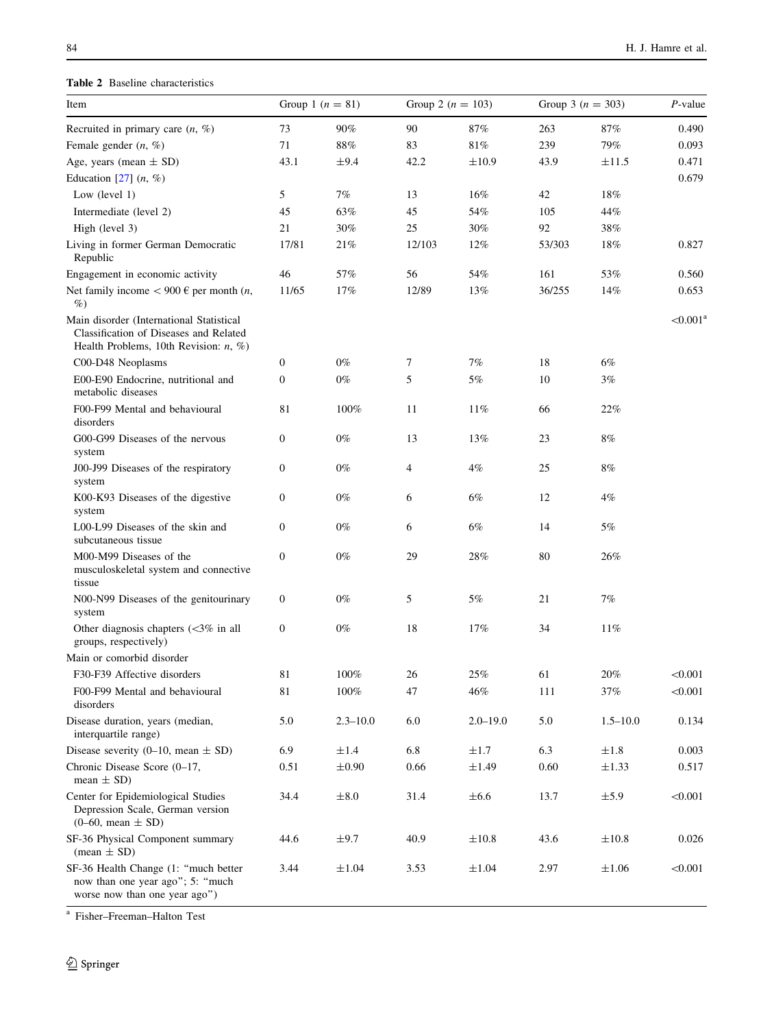# Table 2 Baseline characteristics

| Item                                                                                                                            |                  | Group 1 $(n = 81)$ | Group 2 ( $n = 103$ ) |              | Group 3 ( $n = 303$ ) |              | $P$ -value  |
|---------------------------------------------------------------------------------------------------------------------------------|------------------|--------------------|-----------------------|--------------|-----------------------|--------------|-------------|
| Recruited in primary care $(n, \%)$                                                                                             | 73               | 90%                | 90                    | 87%          | 263                   | 87%          | 0.490       |
| Female gender $(n, \%)$                                                                                                         | 71               | $88\%$             | 83                    | $81\%$       | 239                   | 79%          | 0.093       |
| Age, years (mean $\pm$ SD)                                                                                                      | 43.1             | $\pm$ 9.4          | 42.2                  | $\pm 10.9$   | 43.9                  | ±11.5        | 0.471       |
| Education [27] $(n, %)$                                                                                                         |                  |                    |                       |              |                       |              | 0.679       |
| Low $(level 1)$                                                                                                                 | 5                | $7\%$              | 13                    | 16%          | 42                    | 18%          |             |
| Intermediate (level 2)                                                                                                          | 45               | 63%                | 45                    | 54%          | 105                   | 44%          |             |
| High (level 3)                                                                                                                  | 21               | 30%                | 25                    | 30%          | 92                    | 38%          |             |
| Living in former German Democratic<br>Republic                                                                                  | 17/81            | 21%                | 12/103                | 12%          | 53/303                | 18%          | 0.827       |
| Engagement in economic activity                                                                                                 | 46               | 57%                | 56                    | 54%          | 161                   | 53%          | 0.560       |
| Net family income $< 900 \text{ }\epsilon$ per month $(n,$<br>$\%$                                                              | 11/65            | 17%                | 12/89                 | 13%          | 36/255                | 14%          | 0.653       |
| Main disorder (International Statistical<br>Classification of Diseases and Related<br>Health Problems, 10th Revision: $n, \%$ ) |                  |                    |                       |              |                       |              | $< 0.001^a$ |
| C00-D48 Neoplasms                                                                                                               | $\boldsymbol{0}$ | $0\%$              | 7                     | 7%           | 18                    | 6%           |             |
| E00-E90 Endocrine, nutritional and<br>metabolic diseases                                                                        | $\mathbf{0}$     | $0\%$              | 5                     | 5%           | 10                    | $3\%$        |             |
| F00-F99 Mental and behavioural<br>disorders                                                                                     | 81               | 100%               | 11                    | 11%          | 66                    | 22%          |             |
| G00-G99 Diseases of the nervous<br>system                                                                                       | $\mathbf{0}$     | $0\%$              | 13                    | 13%          | 23                    | $8\%$        |             |
| J00-J99 Diseases of the respiratory<br>system                                                                                   | $\mathbf{0}$     | $0\%$              | 4                     | 4%           | 25                    | $8\%$        |             |
| K00-K93 Diseases of the digestive<br>system                                                                                     | $\boldsymbol{0}$ | $0\%$              | 6                     | 6%           | 12                    | 4%           |             |
| L00-L99 Diseases of the skin and<br>subcutaneous tissue                                                                         | $\boldsymbol{0}$ | $0\%$              | 6                     | 6%           | 14                    | 5%           |             |
| M00-M99 Diseases of the<br>musculoskeletal system and connective<br>tissue                                                      | $\boldsymbol{0}$ | $0\%$              | 29                    | 28%          | 80                    | 26%          |             |
| N00-N99 Diseases of the genitourinary<br>system                                                                                 | $\boldsymbol{0}$ | $0\%$              | 5                     | 5%           | 21                    | 7%           |             |
| Other diagnosis chapters $(<3\%$ in all<br>groups, respectively)                                                                | $\mathbf{0}$     | $0\%$              | 18                    | 17%          | 34                    | 11%          |             |
| Main or comorbid disorder                                                                                                       |                  |                    |                       |              |                       |              |             |
| F30-F39 Affective disorders                                                                                                     | $81\,$           | $100\%$            | 26                    | $25\%$       | 61                    | $20\%$       | < 0.001     |
| F00-F99 Mental and behavioural<br>disorders                                                                                     | 81               | 100%               | 47                    | $46\%$       | 111                   | 37%          | < 0.001     |
| Disease duration, years (median,<br>interquartile range)                                                                        | 5.0              | $2.3 - 10.0$       | 6.0                   | $2.0 - 19.0$ | 5.0                   | $1.5 - 10.0$ | 0.134       |
| Disease severity (0–10, mean $\pm$ SD)                                                                                          | 6.9              | $\pm 1.4$          | 6.8                   | $\pm 1.7$    | 6.3                   | $\pm 1.8$    | 0.003       |
| Chronic Disease Score (0-17,<br>mean $\pm$ SD)                                                                                  | 0.51             | $\pm 0.90$         | 0.66                  | $\pm 1.49$   | 0.60                  | $\pm 1.33$   | 0.517       |
| Center for Epidemiological Studies<br>Depression Scale, German version<br>$(0-60, \text{mean} \pm SD)$                          | 34.4             | $\pm 8.0$          | 31.4                  | $\pm 6.6$    | 13.7                  | ±5.9         | < 0.001     |
| SF-36 Physical Component summary<br>$(\text{mean} \pm \text{SD})$                                                               | 44.6             | $\pm$ 9.7          | 40.9                  | $\pm 10.8$   | 43.6                  | $\pm 10.8$   | 0.026       |
| SF-36 Health Change (1: "much better<br>now than one year ago"; 5: "much<br>worse now than one year ago")                       | 3.44             | $\pm 1.04$         | 3.53                  | $\pm 1.04$   | 2.97                  | $\pm 1.06$   | < 0.001     |

<span id="page-7-0"></span><sup>a</sup> Fisher–Freeman–Halton Test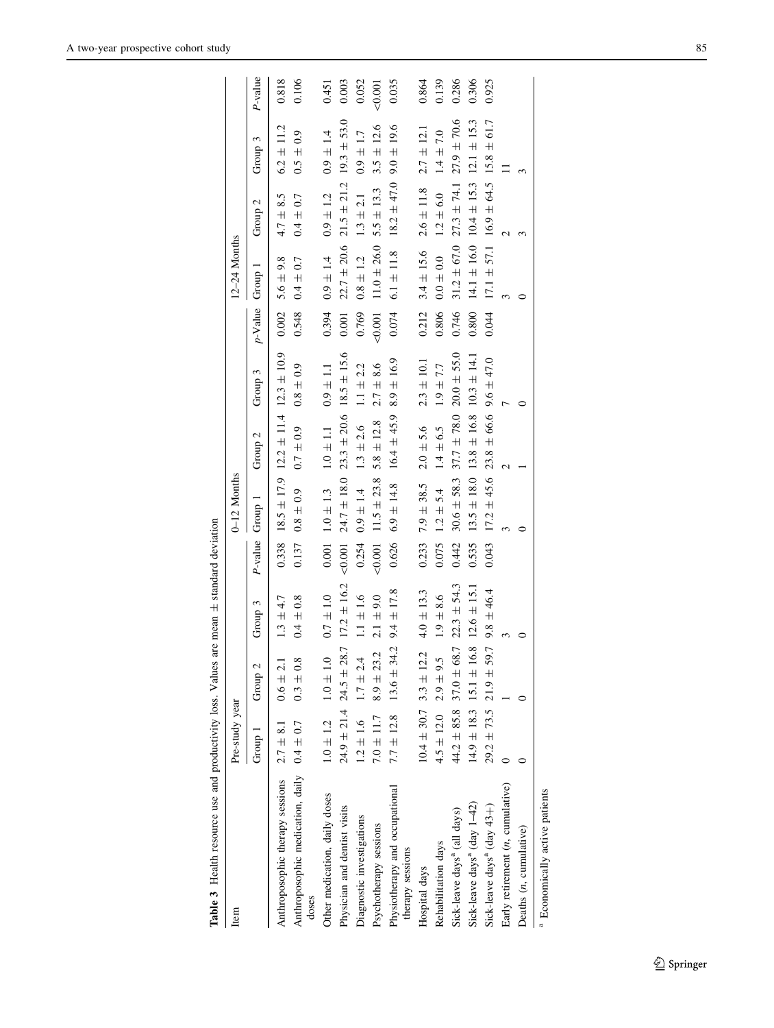<span id="page-8-0"></span>

| Table 3 Health resource use and productivity loss. Values |                              |                                                 | are mean $\pm$ standard deviation |         |                 |                                                 |                 |            |                 |                    |                 |         |
|-----------------------------------------------------------|------------------------------|-------------------------------------------------|-----------------------------------|---------|-----------------|-------------------------------------------------|-----------------|------------|-----------------|--------------------|-----------------|---------|
| Item                                                      | Pre-study year               |                                                 |                                   |         | $0-12$ Months   |                                                 |                 |            | 12-24 Months    |                    |                 |         |
|                                                           | Group 1                      | Group <sub>2</sub>                              | Group 3                           | P-value | Group 1         | Group <sub>2</sub>                              | Group 3         | $p$ -Value | Group 1         | Group <sub>2</sub> | Group 3         | P-value |
| Anthroposophic therapy sessions                           | $2.7 \pm 8.1$                | $0.6 \pm 2.1$                                   | $1.3 \pm 4.7$                     | 0.338   |                 | $18.5 \pm 17.9$ $12.2 \pm 11.4$ $12.3 \pm 10.9$ |                 | 0.002      | $5.6 \pm 9.8$   | $4.7 \pm 8.5$      | $6.2 \pm 11.2$  | 0.818   |
| Anthroposophic medication, daily $0.4 \pm 0.7$<br>doses   |                              | $0.3 \pm 0.8$                                   | $0.4 \pm 0.8$                     | 0.137   | $0.8 \pm 0.9$   | $0.7 \pm 0.9$                                   | $0.8 \pm 0.9$   | 0.548      | $0.4 \pm 0.7$   | $0.4 \pm 0.7$      | $0.5 \pm 0.9$   | 0.106   |
| Other medication, daily doses                             | $1.0 \pm 1.2$                | $1.0 \pm 1.0$                                   | $0.7 \pm 1.0$                     | $0.001$ | $1.0\,\pm\,1.3$ | $1.0\,\pm\,1.1$                                 | $0.9 \pm 1.1$   | 0.394      | $0.9\pm1.4$     | $0.9 \pm 1.2$      | $0.9 \pm 1.4$   | 0.451   |
| Physician and dentist visits                              |                              | $24.9 \pm 21.4$ $24.5 \pm 28.7$ $17.2 \pm 16.2$ |                                   | 0.001   |                 | $24.7 \pm 18.0$ $23.3 \pm 20.6$ $18.5 \pm 15.6$ |                 | 0.001      | $22.7 \pm 20.6$ | $21.5 \pm 21.2$    | $19.3 \pm 53.0$ | 0.003   |
| Diagnostic investigations                                 | $1.2 \pm 1.6$                | $1.7 \pm 2.4$                                   | $1.1 \pm 1.6$                     | 0.254   | $0.9 \pm 1.4$   | $1.3 \pm 2.6$                                   | $1.1 \pm 2.2$   | 0.769      | $0.8\pm1.2$     | $1.3 \pm 2.1$      | $0.9 \pm 1.7$   | 0.052   |
| Psychotherapy sessions                                    | $7.0 \pm 11.7$               | $8.9 \pm 23.2$                                  | $2.1 + 9.0$                       | 0.001   | $11.5 \pm 23.8$ | $5.8 \pm 12.8$                                  | $2.7 \pm 8.6$   | $-0.001$   | $11.0 \pm 26.0$ | $5.5 \pm 13.3$     | $3.5 \pm 12.6$  | 0.001   |
| Physiotherapy and occupational<br>therapy sessions        | $7.7 \pm 12.8$               | $13.6 \pm 34.2$                                 | $9.4 \pm 17.8$                    | 0.626   | $6.9 \pm 14.8$  | $16.4 \pm 45.9$                                 | $8.9 \pm 16.9$  | 0.074      | $6.1 \pm 11.8$  | $18.2 \pm 47.0$    | $9.0 \pm 19.6$  | 0.035   |
| Hospital days                                             |                              | $10.4 \pm 30.7$ 3.3 $\pm$ 12.2                  | $4.0 \pm 13.3$                    | 0.233   | $7.9 \pm 38.5$  | $2.0 \pm 5.6$                                   | $2.3 \pm 10.1$  | 0.212      | $3.4 \pm 15.6$  | $2.6\pm11.8$       | $2.7 \pm 12.1$  | 0.864   |
| Rehabilitation days                                       | $4.5 \pm 12.0$ $2.9 \pm 9.5$ |                                                 | $1.9 \pm 8.6$                     | 0.075   | $1.2 \pm 5.4$   | $1.4 \pm 6.5$                                   | $1.9\pm7.7$     | 0.806      | $0.0\pm0.0$     | $1.2 \pm 6.0$      | $1.4 \pm 7.0$   | 0.139   |
| Sick-leave days <sup>a</sup> (all days)                   |                              | $44.2 \pm 85.8$ 37.0 $\pm$ 68.7                 | $22.3 \pm 54.3$                   | 0.442   | $30.6 \pm 58.3$ | $37.7 \pm 78.0$                                 | $20.0 \pm 55.0$ | 0.746      | $31.2 \pm 67.0$ | $27.3 \pm 74.1$    | $27.9 \pm 70.6$ | 0.286   |
| Sick-leave days <sup>a</sup> (day 1-42)                   |                              | $14.9 \pm 18.3$ $15.1 \pm 16.8$ $12.6 \pm 15.1$ |                                   | 0.535   | $13.5 \pm 18.0$ | $13.8 \pm 16.8$                                 | $10.3 \pm 14.1$ | 0.800      | $14.1 \pm 16.0$ | $10.4 \pm 15.3$    | $12.1 \pm 15.3$ | 0.306   |
| Sick-leave days <sup>a</sup> (day 43+)                    |                              | $29.2 \pm 73.5$ 21.9 $\pm$ 59.7                 | $9.8 \pm 46.4$                    | 0.043   | $17.2 \pm 45.6$ | $23.8 \pm 66.6$ 9.6 $\pm 47.0$                  |                 | 0.044      | $17.1 \pm 57.1$ | $16.9 \pm 64.5$    | $15.8 \pm 61.7$ | 0.925   |
| Early retirement $(n,$ cumulative)                        |                              |                                                 |                                   |         |                 |                                                 |                 |            |                 |                    |                 |         |
| Deaths (n, cumulative)                                    |                              |                                                 |                                   |         |                 |                                                 |                 |            |                 |                    |                 |         |
| <sup>a</sup> Economically active patients                 |                              |                                                 |                                   |         |                 |                                                 |                 |            |                 |                    |                 |         |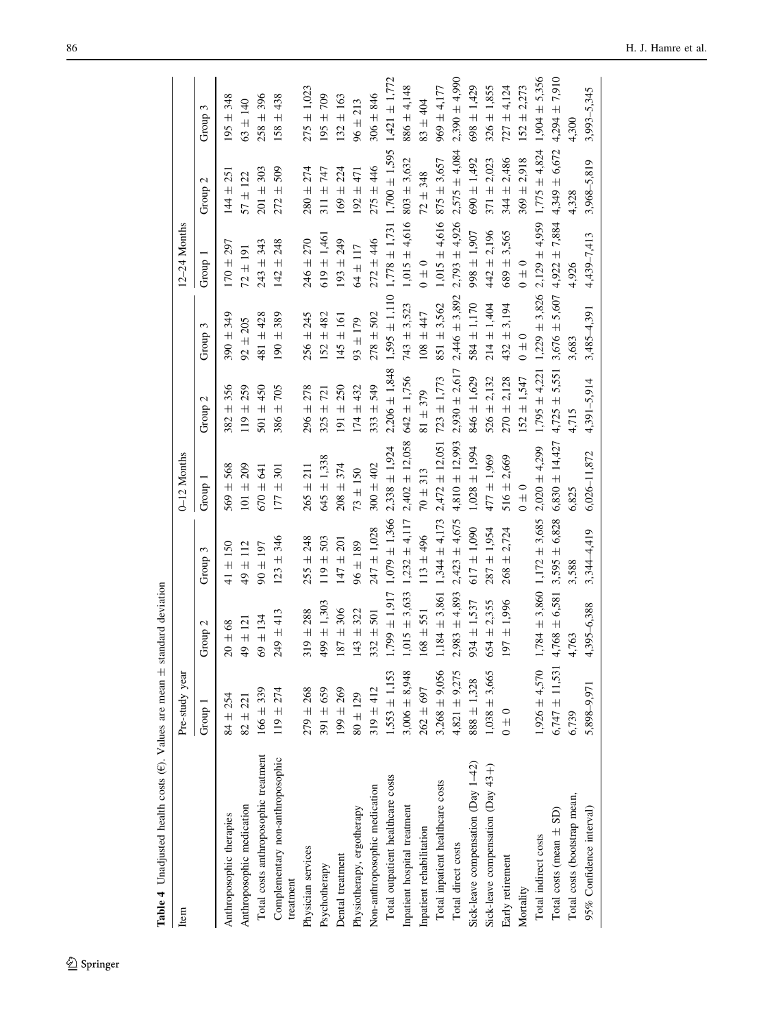| Item                                          | Pre-study year     |                    |                   | 0–12 Months        |                   |                   | 12-24 Months      |                   |                   |
|-----------------------------------------------|--------------------|--------------------|-------------------|--------------------|-------------------|-------------------|-------------------|-------------------|-------------------|
|                                               | Group 1            | Group <sub>2</sub> | Group 3           | Group 1            | Group 2           | Group 3           | Group 1           | Group 2           | Group 3           |
| Anthroposophic therapies                      | $84 \pm 254$       | $20 \pm 68$        | $41 \pm 150$      | $569 \pm 568$      | $382 + 356$       | $390 \pm 349$     | $170 \pm 297$     | $144 \pm 251$     | $195 \pm 348$     |
| Anthroposophic medication                     | $82 \pm 221$       | $49 \pm 121$       | $49 \pm 112$      | $101 \pm 209$      | $119 \pm 259$     | $92 \pm 205$      | $72 \pm 191$      | $57 \pm 122$      | $63 \pm 140$      |
| Total costs anthroposophic treatment          | $166 \pm 339$      | $69 \pm 134$       | $90 \pm 197$      | $670 \pm 641$      | 501 $\pm$ 450     | 481 ± 428         | $243 \pm 343$     | $201 \pm 303$     | $258 \pm 396$     |
| Complementary non-anthroposophic<br>treatment | $119 \pm 274$      | $249 \pm 413$      | $123 \pm 346$     | $177 \pm 301$      | $386 \pm 705$     | $190 \pm 389$     | $142 \pm 248$     | $272 + 509$       | $158 \pm 438$     |
| Physician services                            | $279 \pm 268$      | $319 \pm 288$      | $255 \pm 248$     | $265 \pm 211$      | $296 \pm 278$     | $256 \pm 245$     | $246 \pm 270$     | $280 \pm 274$     | $275 \pm 1,023$   |
| Psychotherapy                                 | $391 \pm 659$      | $499 \pm 1,303$    | $119 \pm 503$     | $645 \pm 1,338$    | $325 \pm 721$     | $152 \pm 482$     | $619 \pm 1,461$   | $311 + 747$       | $195 \pm 709$     |
| Dental treatment                              | $199 \pm 269$      | $187 \pm 306$      | $147 \pm 201$     | $208 \pm 374$      | $191 \pm 250$     | $145 \pm 161$     | $193 \pm 249$     | $169 \pm 224$     | $132 \pm 163$     |
| Physiotherapy, ergotherapy                    | $80 \pm 129$       | $143 + 322$        | $96 \pm 189$      | $73 \pm 150$       | $174 \pm 432$     | $93 \pm 179$      | $64 \pm 117$      | $192 \pm 471$     | $96 \pm 213$      |
| Non-anthroposophic medication                 | $319 \pm 412$      | $332 \pm 501$      | $247 \pm 1,028$   | $300 \pm 402$      | $333 \pm 549$     | $278 \pm 502$     | $272 + 446$       | $275 \pm 446$     | $306 \pm 846$     |
| Total outpatient healthcare costs             | $1,553 \pm 1,153$  | $1,799 \pm 1,917$  | $1,079 \pm 1,366$ | $2,338 \pm 1,924$  | $2,206 \pm 1,848$ | $1,595 \pm 1,110$ | $1,778 \pm 1,731$ | $1,700 \pm 1,595$ | $1,421 \pm 1,772$ |
| Inpatient hospital treatment                  | $3,006 \pm 8,948$  | $1,015 \pm 3,633$  | $1.232 \pm 4.117$ | $2,402 \pm 12,058$ | $642 \pm 1.756$   | $743 \pm 3,523$   | $1,015 \pm 4,616$ | $803 \pm 3,632$   | $886 \pm 4.148$   |
| Inpatient rehabilitation                      | $262 \pm 697$      | $168 \pm 551$      | $113 \pm 496$     | $70 \pm 313$       | $81 \pm 379$      | $108 + 447$       | $0 \pm 0$         | $72 + 348$        | $83 + 404$        |
| Total inpatient healthcare costs              | $3,268 \pm 9,056$  | $1,184 \pm 3,861$  | $1,344 \pm 4,173$ | $2,472 \pm 12,051$ | $723 \pm 1,773$   | $851 \pm 3,562$   | $1,015 \pm 4,616$ | $875 \pm 3,657$   | $969 \pm 4,177$   |
| Total direct costs                            | $4,821 \pm 9,275$  | $2,983 \pm 4,893$  | $2,423 \pm 4,675$ | $4,810 \pm 12,993$ | $2,930 \pm 2,617$ | $2,446 \pm 3,892$ | $2,793 \pm 4,926$ | $2,575 \pm 4,084$ | $2,390 \pm 4,990$ |
| Sick-leave compensation (Day 1-42)            | $888 \pm 1,328$    | $934 \pm 1,537$    | $617 \pm 1,090$   | $1,028 \pm 1,994$  | 846 ± 1,629       | $584 \pm 1,170$   | 998 ± 1,907       | $690 \pm 1,492$   | $698 \pm 1,429$   |
| Sick-leave compensation (Day 43+)             | $1,038 \pm 3,665$  | $654 \pm 2.355$    | $287 \pm 1.954$   | $477 \pm 1,969$    | $526 \pm 2.132$   | $214 \pm 1,404$   | $442 \pm 2.196$   | $371 \pm 2.023$   | $326 \pm 1,855$   |
| Early retirement                              | $0 \pm 0$          | $197 \pm 1,996$    | $268 \pm 2.724$   | $516 \pm 2,669$    | $270 \pm 2.128$   | $432 \pm 3,194$   | $689 \pm 3,565$   | $344 \pm 2,486$   | $727 \pm 4.124$   |
| Mortality                                     |                    |                    |                   | $0 \pm 0$          | $152 \pm 1.547$   | $0 \pm 0$         | $0 \pm 0$         | $369 \pm 2,918$   | $152 \pm 2,273$   |
| Total indirect costs                          | $0.54 \pm 0.05$    | $1,784 \pm 3,860$  | $1,172 \pm 3,685$ | $2,020 \pm 4,299$  | $1,795 \pm 4,221$ | $1,229 \pm 3,826$ | $2,129 \pm 4,959$ | $1,775 \pm 4,824$ | $1,904 \pm 5,356$ |
| Total costs (mean $\pm$ SD)                   | $6,747 \pm 11,531$ | $4,768 \pm 6,581$  | $3,595 \pm 6,828$ | $6,830 \pm 14,427$ | $4,725 \pm 5,551$ | $3,676 \pm 5,607$ | $4,922 \pm 7,884$ | $4,349 \pm 6,672$ | $4,294 \pm 7,910$ |
| Total costs (bootstrap mean,                  | 6,739              | 4,763              | 3,588             | 6,825              | 4,715             | 3,683             | 4,926             | 4,328             | 4,300             |
| 95% Confidence interval)                      | 5,898-9,971        | 4,395-6,388        | 3,344-4,419       | $6,026 - 11,872$   | $4,391 - 5,914$   | $3,485 - 4,391$   | 4,439-7,413       | $3,968 - 5,819$   | 3,993-5,345       |
|                                               |                    |                    |                   |                    |                   |                   |                   |                   |                   |

<span id="page-9-0"></span>Table 4 Unadjusted health costs (E). Values are mean ± standard deviation **Table 4** Unadjusted health costs ( $\epsilon$ ). Values are mean  $\pm$  standard deviation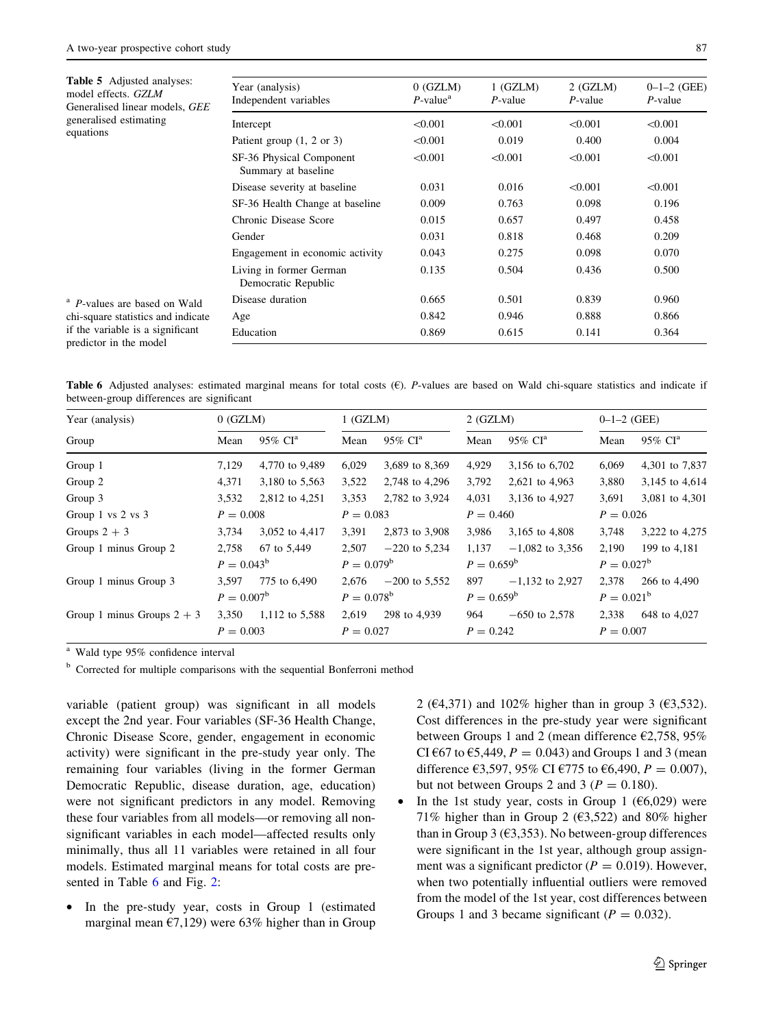Table 5 Adjusted analyses: model effects. GZLM

equations

Generalised linear models, GEE generalised estimating

| Year (analysis)<br>Independent variables        | $0$ (GZLM)<br>$P$ -value <sup>a</sup> | 1(GZLM)<br>$P$ -value | $2$ (GZLM)<br>$P$ -value | $0-1-2$ (GEE)<br>$P$ -value |
|-------------------------------------------------|---------------------------------------|-----------------------|--------------------------|-----------------------------|
| Intercept                                       | < 0.001                               | < 0.001               | < 0.001                  | < 0.001                     |
| Patient group $(1, 2 \text{ or } 3)$            | < 0.001                               | 0.019                 | 0.400                    | 0.004                       |
| SF-36 Physical Component<br>Summary at baseline | < 0.001                               | < 0.001               | < 0.001                  | < 0.001                     |

0.135 0.504 0.436 0.500

Disease severity at baseline  $0.031$   $0.016$   $< 0.001$   $< 0.001$ SF-36 Health Change at baseline 0.009 0.763 0.098 0.196 Chronic Disease Score 0.015 0.657 0.497 0.458 Gender 0.031 0.818 0.468 0.209 Engagement in economic activity  $0.043$  0.275 0.098 0.070

Disease duration 0.665 0.501 0.839 0.960 Age 0.842 0.946 0.888 0.866 Education 0.869 0.615 0.141 0.364

| <sup>a</sup> P-values are based on Wald |  |
|-----------------------------------------|--|
| chi-square statistics and indicate      |  |
| if the variable is a significant        |  |
| predictor in the model                  |  |

|  |                                           |  |  |  |  |  | <b>Table 6</b> Adjusted analyses: estimated marginal means for total costs $(\epsilon)$ . <i>P</i> -values are based on Wald chi-square statistics and indicate if |  |  |
|--|-------------------------------------------|--|--|--|--|--|--------------------------------------------------------------------------------------------------------------------------------------------------------------------|--|--|
|  | between-group differences are significant |  |  |  |  |  |                                                                                                                                                                    |  |  |

| Year (analysis)              | $0$ (GZLM)          |                        | 1(GZLM)       |                        |               | $2$ (GZLM)             |               | $0-1-2$ (GEE)          |
|------------------------------|---------------------|------------------------|---------------|------------------------|---------------|------------------------|---------------|------------------------|
| Group                        | Mean                | $95\%$ CI <sup>a</sup> | Mean          | $95\%$ CI <sup>a</sup> | Mean          | $95\%$ CI <sup>a</sup> | Mean          | $95\%$ CI <sup>a</sup> |
| Group 1                      | 7,129               | 4,770 to 9,489         | 6,029         | 3,689 to 8,369         | 4,929         | 3,156 to 6,702         | 6,069         | 4,301 to 7,837         |
| Group 2                      | 4,371               | 3,180 to 5,563         | 3,522         | 2,748 to 4,296         | 3,792         | 2,621 to 4,963         | 3,880         | 3,145 to 4,614         |
| Group 3                      | 3,532               | 2,812 to 4,251         | 3,353         | 2,782 to 3,924         | 4,031         | 3,136 to 4,927         | 3,691         | 3,081 to 4,301         |
| Group 1 vs $2$ vs $3$        | $P = 0.008$         |                        | $P = 0.083$   |                        | $P = 0.460$   |                        | $P = 0.026$   |                        |
| Groups $2 + 3$               | 3,734               | 3,052 to 4,417         | 3,391         | 2,873 to 3,908         | 3.986         | 3,165 to 4,808         | 3.748         | 3,222 to 4,275         |
| Group 1 minus Group 2        | 2,758               | 67 to 5,449            | 2,507         | $-220$ to 5,234        | 1,137         | $-1,082$ to 3,356      | 2,190         | 199 to 4,181           |
|                              | $P = 0.043^b$       |                        | $P = 0.079^b$ |                        | $P = 0.659^b$ |                        | $P = 0.027^b$ |                        |
| Group 1 minus Group 3        | 3,597               | 775 to 6,490           | 2.676         | $-200$ to 5.552        | 897           | $-1,132$ to 2,927      | 2.378         | 266 to 4,490           |
|                              | $P = 0.007^{\rm b}$ |                        | $P = 0.078^b$ |                        | $P = 0.659^b$ |                        | $P = 0.021^b$ |                        |
| Group 1 minus Groups $2 + 3$ | 3,350               | 1,112 to 5,588         | 2,619         | 298 to 4,939           | 964           | $-650$ to 2,578        | 2,338         | 648 to 4,027           |
|                              | $P = 0.003$         |                        | $P = 0.027$   |                        | $P = 0.242$   |                        | $P = 0.007$   |                        |

Wald type 95% confidence interval

<sup>b</sup> Corrected for multiple comparisons with the sequential Bonferroni method

Living in former German Democratic Republic

variable (patient group) was significant in all models except the 2nd year. Four variables (SF-36 Health Change, Chronic Disease Score, gender, engagement in economic activity) were significant in the pre-study year only. The remaining four variables (living in the former German Democratic Republic, disease duration, age, education) were not significant predictors in any model. Removing these four variables from all models—or removing all nonsignificant variables in each model—affected results only minimally, thus all 11 variables were retained in all four models. Estimated marginal means for total costs are presented in Table [6](#page-10-0) and Fig. [2](#page-11-0):

<span id="page-10-0"></span>In the pre-study year, costs in Group 1 (estimated marginal mean  $\epsilon$ 7,129) were 63% higher than in Group 2 (€4,371) and 102% higher than in group 3 (€3,532). Cost differences in the pre-study year were significant between Groups 1 and 2 (mean difference  $\epsilon$ 2,758, 95% CI  $\epsilon$ 67 to  $\epsilon$ 5,449,  $P = 0.043$ ) and Groups 1 and 3 (mean difference  $\epsilon$ 3,597, 95% CI  $\epsilon$ 775 to  $\epsilon$ 6,490,  $P = 0.007$ ), but not between Groups 2 and 3 ( $P = 0.180$ ).

In the 1st study year, costs in Group 1 ( $66,029$ ) were 71% higher than in Group 2 ( $\epsilon$ 3,522) and 80% higher than in Group 3 ( $\epsilon$ 3,353). No between-group differences were significant in the 1st year, although group assignment was a significant predictor ( $P = 0.019$ ). However, when two potentially influential outliers were removed from the model of the 1st year, cost differences between Groups 1 and 3 became significant ( $P = 0.032$ ).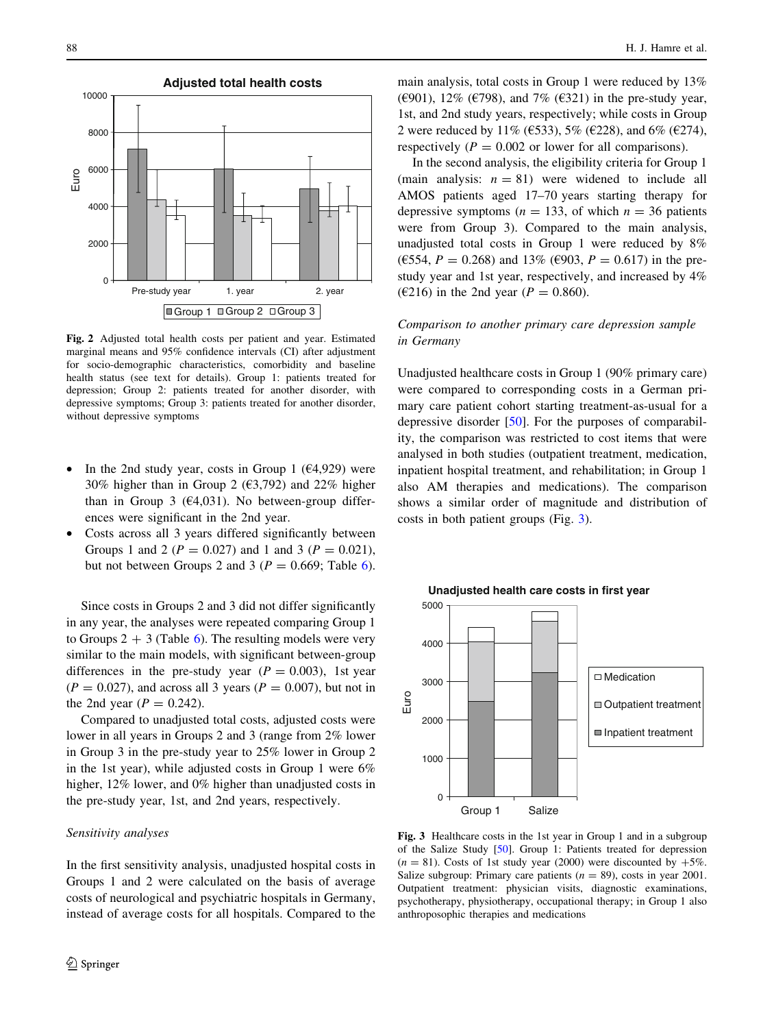

Fig. 2 Adjusted total health costs per patient and year. Estimated marginal means and 95% confidence intervals (CI) after adjustment for socio-demographic characteristics, comorbidity and baseline health status (see text for details). Group 1: patients treated for depression; Group 2: patients treated for another disorder, with depressive symptoms; Group 3: patients treated for another disorder, without depressive symptoms

- In the 2nd study year, costs in Group 1 ( $\epsilon$ 4,929) were 30% higher than in Group 2 ( $\epsilon$ 3,792) and 22% higher than in Group 3 ( $\epsilon$ 4,031). No between-group differences were significant in the 2nd year.
- Costs across all 3 years differed significantly between Groups 1 and 2 ( $P = 0.027$ ) and 1 and 3 ( $P = 0.021$ ), but not between Groups 2 and 3 ( $P = 0.669$  $P = 0.669$  $P = 0.669$ ; Table 6).

Since costs in Groups 2 and 3 did not differ significantly in any year, the analyses were repeated comparing Group 1 to Groups  $2 + 3$  (Table [6](#page-10-0)). The resulting models were very similar to the main models, with significant between-group differences in the pre-study year ( $P = 0.003$ ), 1st year  $(P = 0.027)$ , and across all 3 years  $(P = 0.007)$ , but not in the 2nd year ( $P = 0.242$ ).

Compared to unadjusted total costs, adjusted costs were lower in all years in Groups 2 and 3 (range from 2% lower in Group 3 in the pre-study year to 25% lower in Group 2 in the 1st year), while adjusted costs in Group 1 were 6% higher, 12% lower, and 0% higher than unadjusted costs in the pre-study year, 1st, and 2nd years, respectively.

## Sensitivity analyses

<span id="page-11-0"></span>In the first sensitivity analysis, unadjusted hospital costs in Groups 1 and 2 were calculated on the basis of average costs of neurological and psychiatric hospitals in Germany, instead of average costs for all hospitals. Compared to the main analysis, total costs in Group 1 were reduced by 13% ( $\epsilon$ 901), 12% ( $\epsilon$ 798), and 7% ( $\epsilon$ 321) in the pre-study year, 1st, and 2nd study years, respectively; while costs in Group 2 were reduced by 11% (€533), 5% (€228), and 6% (€274), respectively ( $P = 0.002$  or lower for all comparisons).

In the second analysis, the eligibility criteria for Group 1 (main analysis:  $n = 81$ ) were widened to include all AMOS patients aged 17–70 years starting therapy for depressive symptoms ( $n = 133$ , of which  $n = 36$  patients were from Group 3). Compared to the main analysis, unadjusted total costs in Group 1 were reduced by 8% ( $\epsilon$ 554,  $P = 0.268$ ) and 13% ( $\epsilon$ 903,  $P = 0.617$ ) in the prestudy year and 1st year, respectively, and increased by 4% ( $\epsilon$ 216) in the 2nd year ( $P = 0.860$ ).

# Comparison to another primary care depression sample in Germany

Unadjusted healthcare costs in Group 1 (90% primary care) were compared to corresponding costs in a German primary care patient cohort starting treatment-as-usual for a depressive disorder [[50\]](#page-16-0). For the purposes of comparability, the comparison was restricted to cost items that were analysed in both studies (outpatient treatment, medication, inpatient hospital treatment, and rehabilitation; in Group 1 also AM therapies and medications). The comparison shows a similar order of magnitude and distribution of costs in both patient groups (Fig. [3](#page-11-0)).



Fig. 3 Healthcare costs in the 1st year in Group 1 and in a subgroup of the Salize Study [[50](#page-16-0)]. Group 1: Patients treated for depression  $(n = 81)$ . Costs of 1st study year (2000) were discounted by  $+5\%$ . Salize subgroup: Primary care patients ( $n = 89$ ), costs in year 2001. Outpatient treatment: physician visits, diagnostic examinations, psychotherapy, physiotherapy, occupational therapy; in Group 1 also anthroposophic therapies and medications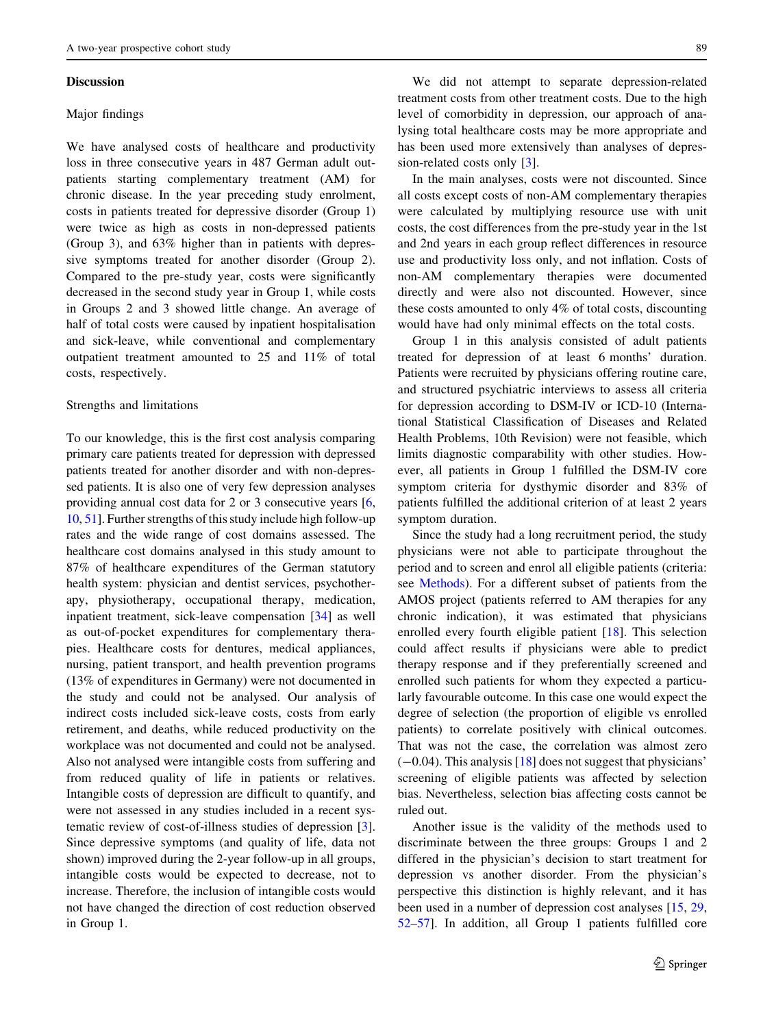#### **Discussion**

## Major findings

We have analysed costs of healthcare and productivity loss in three consecutive years in 487 German adult outpatients starting complementary treatment (AM) for chronic disease. In the year preceding study enrolment, costs in patients treated for depressive disorder (Group 1) were twice as high as costs in non-depressed patients (Group 3), and 63% higher than in patients with depressive symptoms treated for another disorder (Group 2). Compared to the pre-study year, costs were significantly decreased in the second study year in Group 1, while costs in Groups 2 and 3 showed little change. An average of half of total costs were caused by inpatient hospitalisation and sick-leave, while conventional and complementary outpatient treatment amounted to 25 and 11% of total costs, respectively.

#### Strengths and limitations

To our knowledge, this is the first cost analysis comparing primary care patients treated for depression with depressed patients treated for another disorder and with non-depressed patients. It is also one of very few depression analyses providing annual cost data for 2 or 3 consecutive years [[6,](#page-15-0) [10,](#page-15-0) [51](#page-16-0)]. Further strengths of this study include high follow-up rates and the wide range of cost domains assessed. The healthcare cost domains analysed in this study amount to 87% of healthcare expenditures of the German statutory health system: physician and dentist services, psychotherapy, physiotherapy, occupational therapy, medication, inpatient treatment, sick-leave compensation [\[34](#page-16-0)] as well as out-of-pocket expenditures for complementary therapies. Healthcare costs for dentures, medical appliances, nursing, patient transport, and health prevention programs (13% of expenditures in Germany) were not documented in the study and could not be analysed. Our analysis of indirect costs included sick-leave costs, costs from early retirement, and deaths, while reduced productivity on the workplace was not documented and could not be analysed. Also not analysed were intangible costs from suffering and from reduced quality of life in patients or relatives. Intangible costs of depression are difficult to quantify, and were not assessed in any studies included in a recent systematic review of cost-of-illness studies of depression [\[3](#page-15-0)]. Since depressive symptoms (and quality of life, data not shown) improved during the 2-year follow-up in all groups, intangible costs would be expected to decrease, not to increase. Therefore, the inclusion of intangible costs would not have changed the direction of cost reduction observed in Group 1.

We did not attempt to separate depression-related treatment costs from other treatment costs. Due to the high level of comorbidity in depression, our approach of analysing total healthcare costs may be more appropriate and has been used more extensively than analyses of depression-related costs only [[3](#page-15-0)].

In the main analyses, costs were not discounted. Since all costs except costs of non-AM complementary therapies were calculated by multiplying resource use with unit costs, the cost differences from the pre-study year in the 1st and 2nd years in each group reflect differences in resource use and productivity loss only, and not inflation. Costs of non-AM complementary therapies were documented directly and were also not discounted. However, since these costs amounted to only 4% of total costs, discounting would have had only minimal effects on the total costs.

Group 1 in this analysis consisted of adult patients treated for depression of at least 6 months' duration. Patients were recruited by physicians offering routine care, and structured psychiatric interviews to assess all criteria for depression according to DSM-IV or ICD-10 (International Statistical Classification of Diseases and Related Health Problems, 10th Revision) were not feasible, which limits diagnostic comparability with other studies. However, all patients in Group 1 fulfilled the DSM-IV core symptom criteria for dysthymic disorder and 83% of patients fulfilled the additional criterion of at least 2 years symptom duration.

Since the study had a long recruitment period, the study physicians were not able to participate throughout the period and to screen and enrol all eligible patients (criteria: see [Methods\)](#page-1-0). For a different subset of patients from the AMOS project (patients referred to AM therapies for any chronic indication), it was estimated that physicians enrolled every fourth eligible patient [[18\]](#page-15-0). This selection could affect results if physicians were able to predict therapy response and if they preferentially screened and enrolled such patients for whom they expected a particularly favourable outcome. In this case one would expect the degree of selection (the proportion of eligible vs enrolled patients) to correlate positively with clinical outcomes. That was not the case, the correlation was almost zero  $(-0.04)$ . This analysis [[18\]](#page-15-0) does not suggest that physicians' screening of eligible patients was affected by selection bias. Nevertheless, selection bias affecting costs cannot be ruled out.

Another issue is the validity of the methods used to discriminate between the three groups: Groups 1 and 2 differed in the physician's decision to start treatment for depression vs another disorder. From the physician's perspective this distinction is highly relevant, and it has been used in a number of depression cost analyses [\[15](#page-15-0), [29,](#page-16-0) [52–57](#page-16-0)]. In addition, all Group 1 patients fulfilled core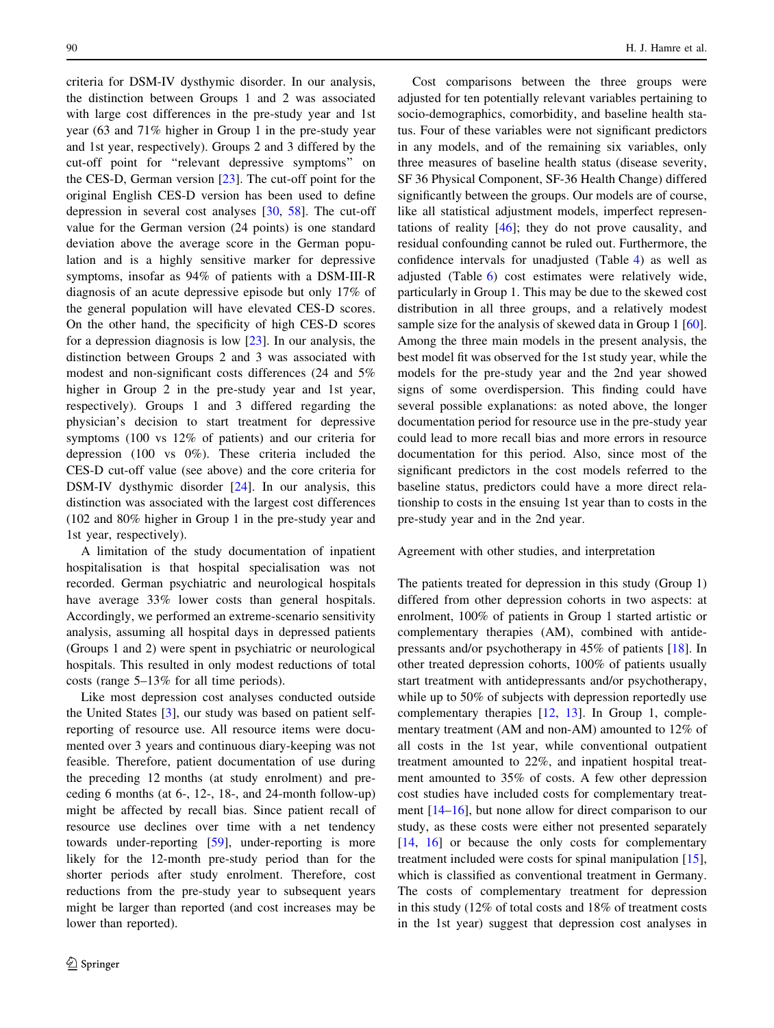criteria for DSM-IV dysthymic disorder. In our analysis, the distinction between Groups 1 and 2 was associated with large cost differences in the pre-study year and 1st year (63 and 71% higher in Group 1 in the pre-study year and 1st year, respectively). Groups 2 and 3 differed by the cut-off point for ''relevant depressive symptoms'' on the CES-D, German version  $[23]$  $[23]$ . The cut-off point for the original English CES-D version has been used to define depression in several cost analyses [[30,](#page-16-0) [58\]](#page-16-0). The cut-off value for the German version (24 points) is one standard deviation above the average score in the German population and is a highly sensitive marker for depressive symptoms, insofar as 94% of patients with a DSM-III-R diagnosis of an acute depressive episode but only 17% of the general population will have elevated CES-D scores. On the other hand, the specificity of high CES-D scores for a depression diagnosis is low  $[23]$  $[23]$ . In our analysis, the distinction between Groups 2 and 3 was associated with modest and non-significant costs differences (24 and 5% higher in Group 2 in the pre-study year and 1st year, respectively). Groups 1 and 3 differed regarding the physician's decision to start treatment for depressive symptoms (100 vs 12% of patients) and our criteria for depression (100 vs 0%). These criteria included the CES-D cut-off value (see above) and the core criteria for DSM-IV dysthymic disorder [[24\]](#page-15-0). In our analysis, this distinction was associated with the largest cost differences (102 and 80% higher in Group 1 in the pre-study year and 1st year, respectively).

A limitation of the study documentation of inpatient hospitalisation is that hospital specialisation was not recorded. German psychiatric and neurological hospitals have average 33% lower costs than general hospitals. Accordingly, we performed an extreme-scenario sensitivity analysis, assuming all hospital days in depressed patients (Groups 1 and 2) were spent in psychiatric or neurological hospitals. This resulted in only modest reductions of total costs (range 5–13% for all time periods).

Like most depression cost analyses conducted outside the United States [\[3](#page-15-0)], our study was based on patient selfreporting of resource use. All resource items were documented over 3 years and continuous diary-keeping was not feasible. Therefore, patient documentation of use during the preceding 12 months (at study enrolment) and preceding 6 months (at 6-, 12-, 18-, and 24-month follow-up) might be affected by recall bias. Since patient recall of resource use declines over time with a net tendency towards under-reporting [[59\]](#page-16-0), under-reporting is more likely for the 12-month pre-study period than for the shorter periods after study enrolment. Therefore, cost reductions from the pre-study year to subsequent years might be larger than reported (and cost increases may be lower than reported).

Cost comparisons between the three groups were adjusted for ten potentially relevant variables pertaining to socio-demographics, comorbidity, and baseline health status. Four of these variables were not significant predictors in any models, and of the remaining six variables, only three measures of baseline health status (disease severity, SF 36 Physical Component, SF-36 Health Change) differed significantly between the groups. Our models are of course, like all statistical adjustment models, imperfect representations of reality [\[46](#page-16-0)]; they do not prove causality, and residual confounding cannot be ruled out. Furthermore, the confidence intervals for unadjusted (Table [4\)](#page-9-0) as well as adjusted (Table [6\)](#page-10-0) cost estimates were relatively wide, particularly in Group 1. This may be due to the skewed cost distribution in all three groups, and a relatively modest sample size for the analysis of skewed data in Group 1 [\[60](#page-16-0)]. Among the three main models in the present analysis, the best model fit was observed for the 1st study year, while the models for the pre-study year and the 2nd year showed signs of some overdispersion. This finding could have several possible explanations: as noted above, the longer documentation period for resource use in the pre-study year could lead to more recall bias and more errors in resource documentation for this period. Also, since most of the significant predictors in the cost models referred to the baseline status, predictors could have a more direct relationship to costs in the ensuing 1st year than to costs in the pre-study year and in the 2nd year.

# Agreement with other studies, and interpretation

The patients treated for depression in this study (Group 1) differed from other depression cohorts in two aspects: at enrolment, 100% of patients in Group 1 started artistic or complementary therapies (AM), combined with antidepressants and/or psychotherapy in 45% of patients [\[18](#page-15-0)]. In other treated depression cohorts, 100% of patients usually start treatment with antidepressants and/or psychotherapy, while up to 50% of subjects with depression reportedly use complementary therapies [[12,](#page-15-0) [13\]](#page-15-0). In Group 1, complementary treatment (AM and non-AM) amounted to 12% of all costs in the 1st year, while conventional outpatient treatment amounted to 22%, and inpatient hospital treatment amounted to 35% of costs. A few other depression cost studies have included costs for complementary treatment [[14–16\]](#page-15-0), but none allow for direct comparison to our study, as these costs were either not presented separately [\[14](#page-15-0), [16\]](#page-15-0) or because the only costs for complementary treatment included were costs for spinal manipulation [\[15](#page-15-0)], which is classified as conventional treatment in Germany. The costs of complementary treatment for depression in this study (12% of total costs and 18% of treatment costs in the 1st year) suggest that depression cost analyses in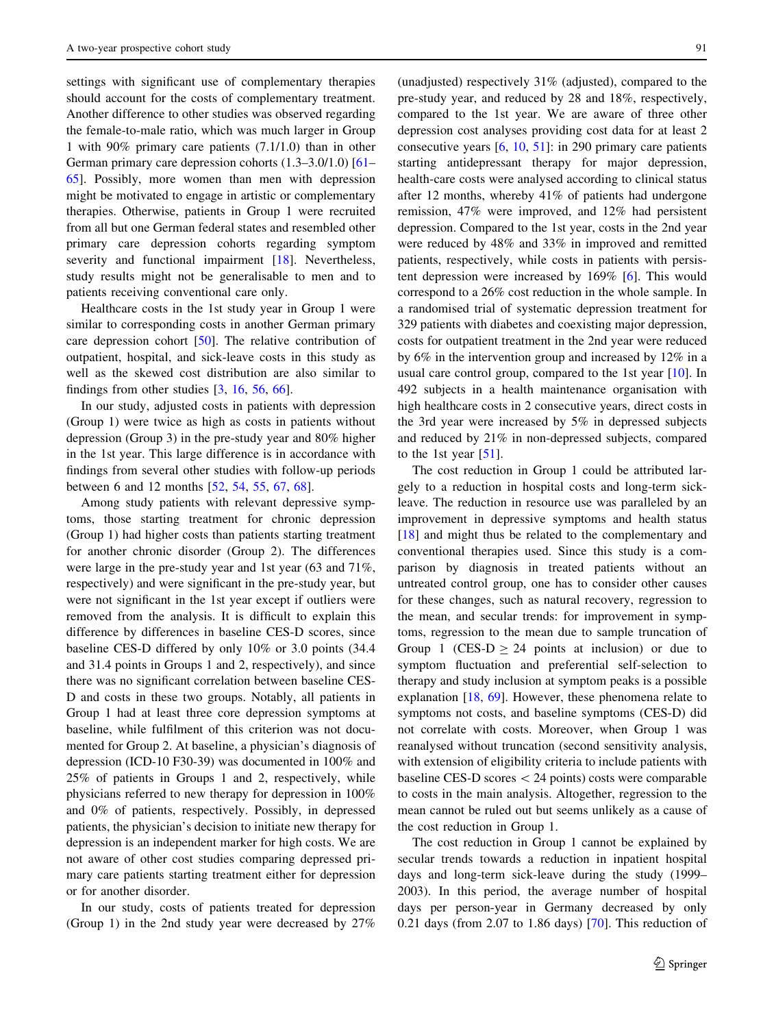settings with significant use of complementary therapies should account for the costs of complementary treatment. Another difference to other studies was observed regarding the female-to-male ratio, which was much larger in Group 1 with 90% primary care patients (7.1/1.0) than in other German primary care depression cohorts (1.3–3.0/1.0) [\[61](#page-16-0)– [65](#page-16-0)]. Possibly, more women than men with depression might be motivated to engage in artistic or complementary therapies. Otherwise, patients in Group 1 were recruited from all but one German federal states and resembled other primary care depression cohorts regarding symptom severity and functional impairment [[18\]](#page-15-0). Nevertheless, study results might not be generalisable to men and to patients receiving conventional care only.

Healthcare costs in the 1st study year in Group 1 were similar to corresponding costs in another German primary care depression cohort [[50\]](#page-16-0). The relative contribution of outpatient, hospital, and sick-leave costs in this study as well as the skewed cost distribution are also similar to findings from other studies  $[3, 16, 56, 66]$  $[3, 16, 56, 66]$  $[3, 16, 56, 66]$  $[3, 16, 56, 66]$  $[3, 16, 56, 66]$  $[3, 16, 56, 66]$  $[3, 16, 56, 66]$  $[3, 16, 56, 66]$ .

In our study, adjusted costs in patients with depression (Group 1) were twice as high as costs in patients without depression (Group 3) in the pre-study year and 80% higher in the 1st year. This large difference is in accordance with findings from several other studies with follow-up periods between 6 and 12 months [\[52](#page-16-0), [54,](#page-16-0) [55,](#page-16-0) [67,](#page-17-0) [68](#page-17-0)].

Among study patients with relevant depressive symptoms, those starting treatment for chronic depression (Group 1) had higher costs than patients starting treatment for another chronic disorder (Group 2). The differences were large in the pre-study year and 1st year (63 and 71%, respectively) and were significant in the pre-study year, but were not significant in the 1st year except if outliers were removed from the analysis. It is difficult to explain this difference by differences in baseline CES-D scores, since baseline CES-D differed by only 10% or 3.0 points (34.4 and 31.4 points in Groups 1 and 2, respectively), and since there was no significant correlation between baseline CES-D and costs in these two groups. Notably, all patients in Group 1 had at least three core depression symptoms at baseline, while fulfilment of this criterion was not documented for Group 2. At baseline, a physician's diagnosis of depression (ICD-10 F30-39) was documented in 100% and 25% of patients in Groups 1 and 2, respectively, while physicians referred to new therapy for depression in 100% and 0% of patients, respectively. Possibly, in depressed patients, the physician's decision to initiate new therapy for depression is an independent marker for high costs. We are not aware of other cost studies comparing depressed primary care patients starting treatment either for depression or for another disorder.

In our study, costs of patients treated for depression (Group 1) in the 2nd study year were decreased by 27%

(unadjusted) respectively  $31\%$  (adjusted), compared to the pre-study year, and reduced by 28 and 18%, respectively, compared to the 1st year. We are aware of three other depression cost analyses providing cost data for at least 2 consecutive years [\[6](#page-15-0), [10,](#page-15-0) [51](#page-16-0)]: in 290 primary care patients starting antidepressant therapy for major depression, health-care costs were analysed according to clinical status after 12 months, whereby 41% of patients had undergone remission, 47% were improved, and 12% had persistent depression. Compared to the 1st year, costs in the 2nd year were reduced by 48% and 33% in improved and remitted patients, respectively, while costs in patients with persistent depression were increased by 169% [[6\]](#page-15-0). This would correspond to a 26% cost reduction in the whole sample. In a randomised trial of systematic depression treatment for 329 patients with diabetes and coexisting major depression, costs for outpatient treatment in the 2nd year were reduced by 6% in the intervention group and increased by 12% in a usual care control group, compared to the 1st year [\[10](#page-15-0)]. In 492 subjects in a health maintenance organisation with high healthcare costs in 2 consecutive years, direct costs in the 3rd year were increased by 5% in depressed subjects and reduced by 21% in non-depressed subjects, compared to the 1st year  $[51]$  $[51]$ .

The cost reduction in Group 1 could be attributed largely to a reduction in hospital costs and long-term sickleave. The reduction in resource use was paralleled by an improvement in depressive symptoms and health status [\[18](#page-15-0)] and might thus be related to the complementary and conventional therapies used. Since this study is a comparison by diagnosis in treated patients without an untreated control group, one has to consider other causes for these changes, such as natural recovery, regression to the mean, and secular trends: for improvement in symptoms, regression to the mean due to sample truncation of Group 1 (CES-D  $\geq$  24 points at inclusion) or due to symptom fluctuation and preferential self-selection to therapy and study inclusion at symptom peaks is a possible explanation [[18,](#page-15-0) [69\]](#page-17-0). However, these phenomena relate to symptoms not costs, and baseline symptoms (CES-D) did not correlate with costs. Moreover, when Group 1 was reanalysed without truncation (second sensitivity analysis, with extension of eligibility criteria to include patients with baseline CES-D scores  $\langle 24 \text{ points} \rangle$  costs were comparable to costs in the main analysis. Altogether, regression to the mean cannot be ruled out but seems unlikely as a cause of the cost reduction in Group 1.

The cost reduction in Group 1 cannot be explained by secular trends towards a reduction in inpatient hospital days and long-term sick-leave during the study (1999– 2003). In this period, the average number of hospital days per person-year in Germany decreased by only 0.21 days (from 2.07 to 1.86 days) [[70\]](#page-17-0). This reduction of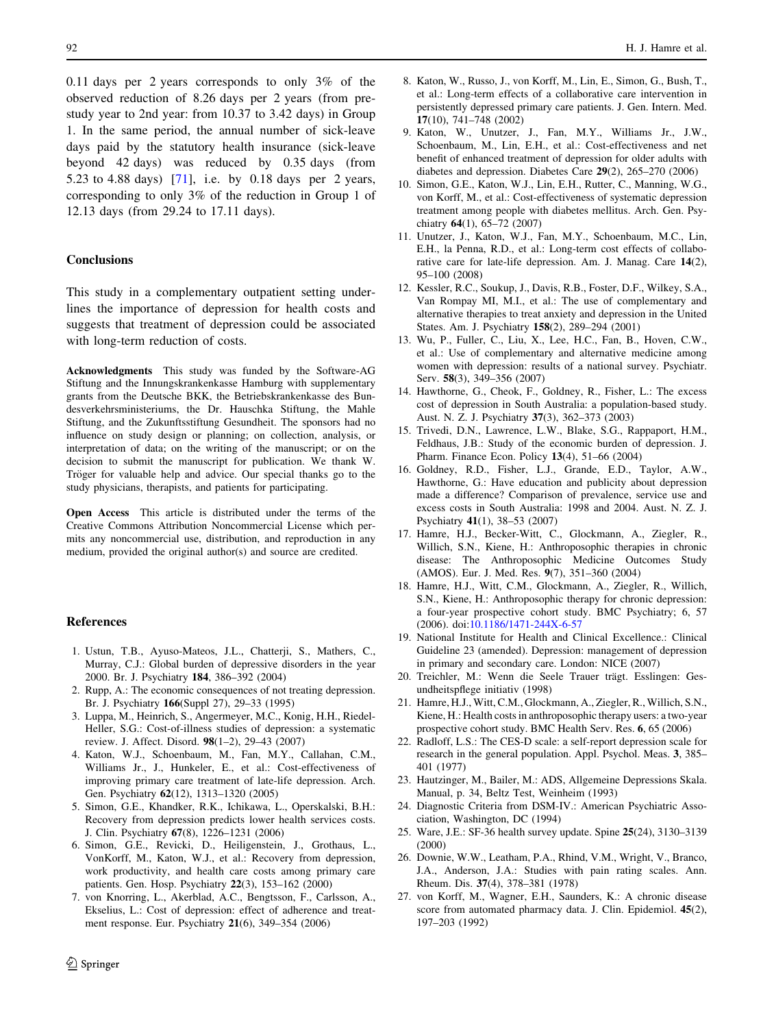0.11 days per 2 years corresponds to only 3% of the observed reduction of 8.26 days per 2 years (from prestudy year to 2nd year: from 10.37 to 3.42 days) in Group 1. In the same period, the annual number of sick-leave days paid by the statutory health insurance (sick-leave beyond 42 days) was reduced by 0.35 days (from 5.23 to 4.88 days) [\[71](#page-17-0)], i.e. by 0.18 days per 2 years, corresponding to only 3% of the reduction in Group 1 of 12.13 days (from 29.24 to 17.11 days).

## **Conclusions**

This study in a complementary outpatient setting underlines the importance of depression for health costs and suggests that treatment of depression could be associated with long-term reduction of costs.

Acknowledgments This study was funded by the Software-AG Stiftung and the Innungskrankenkasse Hamburg with supplementary grants from the Deutsche BKK, the Betriebskrankenkasse des Bundesverkehrsministeriums, the Dr. Hauschka Stiftung, the Mahle Stiftung, and the Zukunftsstiftung Gesundheit. The sponsors had no influence on study design or planning; on collection, analysis, or interpretation of data; on the writing of the manuscript; or on the decision to submit the manuscript for publication. We thank W. Tröger for valuable help and advice. Our special thanks go to the study physicians, therapists, and patients for participating.

Open Access This article is distributed under the terms of the Creative Commons Attribution Noncommercial License which permits any noncommercial use, distribution, and reproduction in any medium, provided the original author(s) and source are credited.

#### **References**

- 1. Ustun, T.B., Ayuso-Mateos, J.L., Chatterji, S., Mathers, C., Murray, C.J.: Global burden of depressive disorders in the year 2000. Br. J. Psychiatry 184, 386–392 (2004)
- 2. Rupp, A.: The economic consequences of not treating depression. Br. J. Psychiatry 166(Suppl 27), 29–33 (1995)
- 3. Luppa, M., Heinrich, S., Angermeyer, M.C., Konig, H.H., Riedel-Heller, S.G.: Cost-of-illness studies of depression: a systematic review. J. Affect. Disord. 98(1–2), 29–43 (2007)
- 4. Katon, W.J., Schoenbaum, M., Fan, M.Y., Callahan, C.M., Williams Jr., J., Hunkeler, E., et al.: Cost-effectiveness of improving primary care treatment of late-life depression. Arch. Gen. Psychiatry 62(12), 1313–1320 (2005)
- 5. Simon, G.E., Khandker, R.K., Ichikawa, L., Operskalski, B.H.: Recovery from depression predicts lower health services costs. J. Clin. Psychiatry 67(8), 1226–1231 (2006)
- 6. Simon, G.E., Revicki, D., Heiligenstein, J., Grothaus, L., VonKorff, M., Katon, W.J., et al.: Recovery from depression, work productivity, and health care costs among primary care patients. Gen. Hosp. Psychiatry 22(3), 153–162 (2000)
- <span id="page-15-0"></span>7. von Knorring, L., Akerblad, A.C., Bengtsson, F., Carlsson, A., Ekselius, L.: Cost of depression: effect of adherence and treatment response. Eur. Psychiatry 21(6), 349–354 (2006)
- 8. Katon, W., Russo, J., von Korff, M., Lin, E., Simon, G., Bush, T., et al.: Long-term effects of a collaborative care intervention in persistently depressed primary care patients. J. Gen. Intern. Med. 17(10), 741–748 (2002)
- 9. Katon, W., Unutzer, J., Fan, M.Y., Williams Jr., J.W., Schoenbaum, M., Lin, E.H., et al.: Cost-effectiveness and net benefit of enhanced treatment of depression for older adults with diabetes and depression. Diabetes Care 29(2), 265–270 (2006)
- 10. Simon, G.E., Katon, W.J., Lin, E.H., Rutter, C., Manning, W.G., von Korff, M., et al.: Cost-effectiveness of systematic depression treatment among people with diabetes mellitus. Arch. Gen. Psychiatry 64(1), 65–72 (2007)
- 11. Unutzer, J., Katon, W.J., Fan, M.Y., Schoenbaum, M.C., Lin, E.H., la Penna, R.D., et al.: Long-term cost effects of collaborative care for late-life depression. Am. J. Manag. Care 14(2), 95–100 (2008)
- 12. Kessler, R.C., Soukup, J., Davis, R.B., Foster, D.F., Wilkey, S.A., Van Rompay MI, M.I., et al.: The use of complementary and alternative therapies to treat anxiety and depression in the United States. Am. J. Psychiatry 158(2), 289–294 (2001)
- 13. Wu, P., Fuller, C., Liu, X., Lee, H.C., Fan, B., Hoven, C.W., et al.: Use of complementary and alternative medicine among women with depression: results of a national survey. Psychiatr. Serv. 58(3), 349–356 (2007)
- 14. Hawthorne, G., Cheok, F., Goldney, R., Fisher, L.: The excess cost of depression in South Australia: a population-based study. Aust. N. Z. J. Psychiatry 37(3), 362–373 (2003)
- 15. Trivedi, D.N., Lawrence, L.W., Blake, S.G., Rappaport, H.M., Feldhaus, J.B.: Study of the economic burden of depression. J. Pharm. Finance Econ. Policy 13(4), 51–66 (2004)
- 16. Goldney, R.D., Fisher, L.J., Grande, E.D., Taylor, A.W., Hawthorne, G.: Have education and publicity about depression made a difference? Comparison of prevalence, service use and excess costs in South Australia: 1998 and 2004. Aust. N. Z. J. Psychiatry 41(1), 38–53 (2007)
- 17. Hamre, H.J., Becker-Witt, C., Glockmann, A., Ziegler, R., Willich, S.N., Kiene, H.: Anthroposophic therapies in chronic disease: The Anthroposophic Medicine Outcomes Study (AMOS). Eur. J. Med. Res. 9(7), 351–360 (2004)
- 18. Hamre, H.J., Witt, C.M., Glockmann, A., Ziegler, R., Willich, S.N., Kiene, H.: Anthroposophic therapy for chronic depression: a four-year prospective cohort study. BMC Psychiatry; 6, 57 (2006). doi[:10.1186/1471-244X-6-57](http://dx.doi.org/10.1186/1471-244X-6-57)
- 19. National Institute for Health and Clinical Excellence.: Clinical Guideline 23 (amended). Depression: management of depression in primary and secondary care. London: NICE (2007)
- 20. Treichler, M.: Wenn die Seele Trauer trägt. Esslingen: Gesundheitspflege initiativ (1998)
- 21. Hamre, H.J., Witt, C.M., Glockmann, A., Ziegler, R., Willich, S.N., Kiene, H.: Health costs in anthroposophic therapy users: a two-year prospective cohort study. BMC Health Serv. Res. 6, 65 (2006)
- 22. Radloff, L.S.: The CES-D scale: a self-report depression scale for research in the general population. Appl. Psychol. Meas. 3, 385– 401 (1977)
- 23. Hautzinger, M., Bailer, M.: ADS, Allgemeine Depressions Skala. Manual, p. 34, Beltz Test, Weinheim (1993)
- 24. Diagnostic Criteria from DSM-IV.: American Psychiatric Association, Washington, DC (1994)
- 25. Ware, J.E.: SF-36 health survey update. Spine 25(24), 3130–3139 (2000)
- 26. Downie, W.W., Leatham, P.A., Rhind, V.M., Wright, V., Branco, J.A., Anderson, J.A.: Studies with pain rating scales. Ann. Rheum. Dis. 37(4), 378–381 (1978)
- 27. von Korff, M., Wagner, E.H., Saunders, K.: A chronic disease score from automated pharmacy data. J. Clin. Epidemiol. 45(2), 197–203 (1992)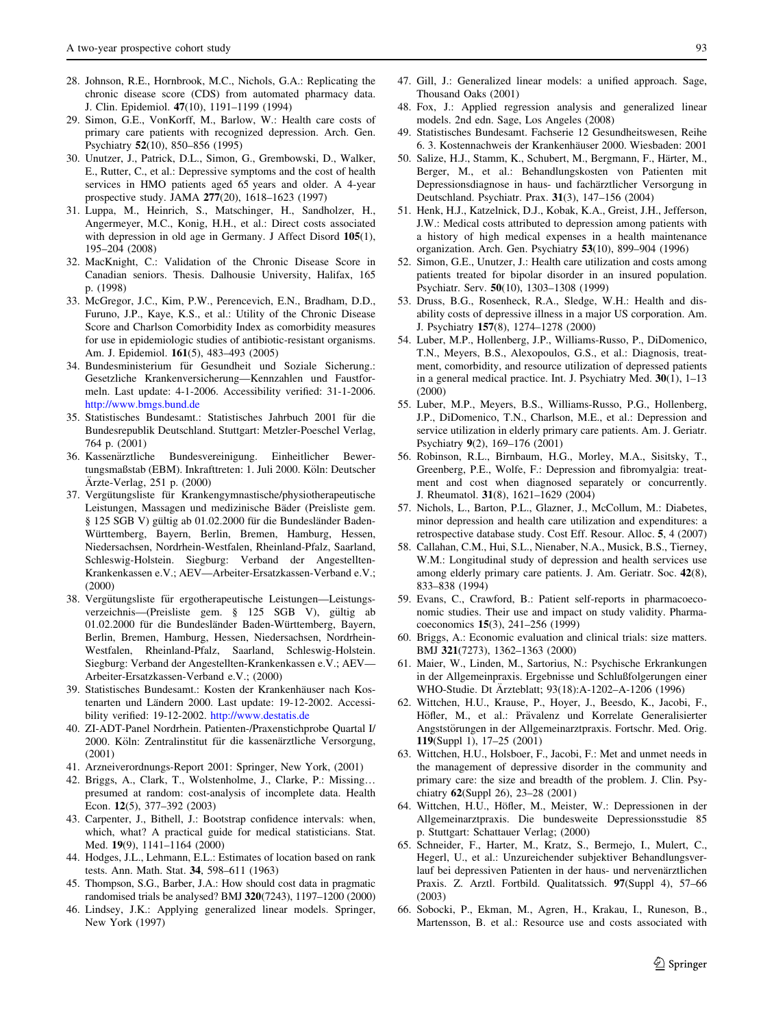- 28. Johnson, R.E., Hornbrook, M.C., Nichols, G.A.: Replicating the chronic disease score (CDS) from automated pharmacy data. J. Clin. Epidemiol. 47(10), 1191–1199 (1994)
- 29. Simon, G.E., VonKorff, M., Barlow, W.: Health care costs of primary care patients with recognized depression. Arch. Gen. Psychiatry 52(10), 850–856 (1995)
- 30. Unutzer, J., Patrick, D.L., Simon, G., Grembowski, D., Walker, E., Rutter, C., et al.: Depressive symptoms and the cost of health services in HMO patients aged 65 years and older. A 4-year prospective study. JAMA 277(20), 1618–1623 (1997)
- 31. Luppa, M., Heinrich, S., Matschinger, H., Sandholzer, H., Angermeyer, M.C., Konig, H.H., et al.: Direct costs associated with depression in old age in Germany. J Affect Disord 105(1), 195–204 (2008)
- 32. MacKnight, C.: Validation of the Chronic Disease Score in Canadian seniors. Thesis. Dalhousie University, Halifax, 165 p. (1998)
- 33. McGregor, J.C., Kim, P.W., Perencevich, E.N., Bradham, D.D., Furuno, J.P., Kaye, K.S., et al.: Utility of the Chronic Disease Score and Charlson Comorbidity Index as comorbidity measures for use in epidemiologic studies of antibiotic-resistant organisms. Am. J. Epidemiol. 161(5), 483–493 (2005)
- 34. Bundesministerium für Gesundheit und Soziale Sicherung.: Gesetzliche Krankenversicherung—Kennzahlen und Faustformeln. Last update: 4-1-2006. Accessibility verified: 31-1-2006. <http://www.bmgs.bund.de>
- 35. Statistisches Bundesamt.: Statistisches Jahrbuch 2001 für die Bundesrepublik Deutschland. Stuttgart: Metzler-Poeschel Verlag, 764 p. (2001)
- 36. Kassena¨rztliche Bundesvereinigung. Einheitlicher Bewertungsmaßstab (EBM). Inkrafttreten: 1. Juli 2000. Köln: Deutscher Ärzte-Verlag, 251 p. (2000)
- 37. Vergütungsliste für Krankengymnastische/physiotherapeutische Leistungen, Massagen und medizinische Bäder (Preisliste gem. § 125 SGB V) gültig ab 01.02.2000 für die Bundesländer Baden-Württemberg, Bayern, Berlin, Bremen, Hamburg, Hessen, Niedersachsen, Nordrhein-Westfalen, Rheinland-Pfalz, Saarland, Schleswig-Holstein. Siegburg: Verband der Angestellten-Krankenkassen e.V.; AEV—Arbeiter-Ersatzkassen-Verband e.V.; (2000)
- 38. Vergütungsliste für ergotherapeutische Leistungen-Leistungsverzeichnis—(Preisliste gem. § 125 SGB V), gültig ab 01.02.2000 für die Bundesländer Baden-Württemberg, Bayern, Berlin, Bremen, Hamburg, Hessen, Niedersachsen, Nordrhein-Westfalen, Rheinland-Pfalz, Saarland, Schleswig-Holstein. Siegburg: Verband der Angestellten-Krankenkassen e.V.; AEV— Arbeiter-Ersatzkassen-Verband e.V.; (2000)
- 39. Statistisches Bundesamt.: Kosten der Krankenhäuser nach Kostenarten und Ländern 2000. Last update: 19-12-2002. Accessibility verified: 19-12-2002. <http://www.destatis.de>
- 40. ZI-ADT-Panel Nordrhein. Patienten-/Praxenstichprobe Quartal I/ 2000. Köln: Zentralinstitut für die kassenärztliche Versorgung, (2001)
- 41. Arzneiverordnungs-Report 2001: Springer, New York, (2001)
- 42. Briggs, A., Clark, T., Wolstenholme, J., Clarke, P.: Missing… presumed at random: cost-analysis of incomplete data. Health Econ. 12(5), 377–392 (2003)
- 43. Carpenter, J., Bithell, J.: Bootstrap confidence intervals: when, which, what? A practical guide for medical statisticians. Stat. Med. 19(9), 1141–1164 (2000)
- 44. Hodges, J.L., Lehmann, E.L.: Estimates of location based on rank tests. Ann. Math. Stat. 34, 598–611 (1963)
- 45. Thompson, S.G., Barber, J.A.: How should cost data in pragmatic randomised trials be analysed? BMJ 320(7243), 1197–1200 (2000)
- <span id="page-16-0"></span>46. Lindsey, J.K.: Applying generalized linear models. Springer, New York (1997)
- 47. Gill, J.: Generalized linear models: a unified approach. Sage, Thousand Oaks (2001)
- 48. Fox, J.: Applied regression analysis and generalized linear models. 2nd edn. Sage, Los Angeles (2008)
- 49. Statistisches Bundesamt. Fachserie 12 Gesundheitswesen, Reihe 6. 3. Kostennachweis der Krankenhäuser 2000. Wiesbaden: 2001
- 50. Salize, H.J., Stamm, K., Schubert, M., Bergmann, F., Härter, M., Berger, M., et al.: Behandlungskosten von Patienten mit Depressionsdiagnose in haus- und fachärztlicher Versorgung in Deutschland. Psychiatr. Prax. 31(3), 147–156 (2004)
- 51. Henk, H.J., Katzelnick, D.J., Kobak, K.A., Greist, J.H., Jefferson, J.W.: Medical costs attributed to depression among patients with a history of high medical expenses in a health maintenance organization. Arch. Gen. Psychiatry 53(10), 899–904 (1996)
- 52. Simon, G.E., Unutzer, J.: Health care utilization and costs among patients treated for bipolar disorder in an insured population. Psychiatr. Serv. 50(10), 1303–1308 (1999)
- 53. Druss, B.G., Rosenheck, R.A., Sledge, W.H.: Health and disability costs of depressive illness in a major US corporation. Am. J. Psychiatry 157(8), 1274–1278 (2000)
- 54. Luber, M.P., Hollenberg, J.P., Williams-Russo, P., DiDomenico, T.N., Meyers, B.S., Alexopoulos, G.S., et al.: Diagnosis, treatment, comorbidity, and resource utilization of depressed patients in a general medical practice. Int. J. Psychiatry Med. 30(1), 1–13 (2000)
- 55. Luber, M.P., Meyers, B.S., Williams-Russo, P.G., Hollenberg, J.P., DiDomenico, T.N., Charlson, M.E., et al.: Depression and service utilization in elderly primary care patients. Am. J. Geriatr. Psychiatry 9(2), 169–176 (2001)
- 56. Robinson, R.L., Birnbaum, H.G., Morley, M.A., Sisitsky, T., Greenberg, P.E., Wolfe, F.: Depression and fibromyalgia: treatment and cost when diagnosed separately or concurrently. J. Rheumatol. 31(8), 1621–1629 (2004)
- 57. Nichols, L., Barton, P.L., Glazner, J., McCollum, M.: Diabetes, minor depression and health care utilization and expenditures: a retrospective database study. Cost Eff. Resour. Alloc. 5, 4 (2007)
- 58. Callahan, C.M., Hui, S.L., Nienaber, N.A., Musick, B.S., Tierney, W.M.: Longitudinal study of depression and health services use among elderly primary care patients. J. Am. Geriatr. Soc. 42(8), 833–838 (1994)
- 59. Evans, C., Crawford, B.: Patient self-reports in pharmacoeconomic studies. Their use and impact on study validity. Pharmacoeconomics 15(3), 241–256 (1999)
- 60. Briggs, A.: Economic evaluation and clinical trials: size matters. BMJ 321(7273), 1362–1363 (2000)
- 61. Maier, W., Linden, M., Sartorius, N.: Psychische Erkrankungen in der Allgemeinpraxis. Ergebnisse und Schlußfolgerungen einer WHO-Studie. Dt Ärzteblatt; 93(18):A-1202–A-1206 (1996)
- 62. Wittchen, H.U., Krause, P., Hoyer, J., Beesdo, K., Jacobi, F., Höfler, M., et al.: Prävalenz und Korrelate Generalisierter Angststörungen in der Allgemeinarztpraxis. Fortschr. Med. Orig. 119(Suppl 1), 17–25 (2001)
- 63. Wittchen, H.U., Holsboer, F., Jacobi, F.: Met and unmet needs in the management of depressive disorder in the community and primary care: the size and breadth of the problem. J. Clin. Psychiatry 62(Suppl 26), 23–28 (2001)
- 64. Wittchen, H.U., Höfler, M., Meister, W.: Depressionen in der Allgemeinarztpraxis. Die bundesweite Depressionsstudie 85 p. Stuttgart: Schattauer Verlag; (2000)
- 65. Schneider, F., Harter, M., Kratz, S., Bermejo, I., Mulert, C., Hegerl, U., et al.: Unzureichender subjektiver Behandlungsverlauf bei depressiven Patienten in der haus- und nervenärztlichen Praxis. Z. Arztl. Fortbild. Qualitatssich. 97(Suppl 4), 57–66 (2003)
- 66. Sobocki, P., Ekman, M., Agren, H., Krakau, I., Runeson, B., Martensson, B. et al.: Resource use and costs associated with